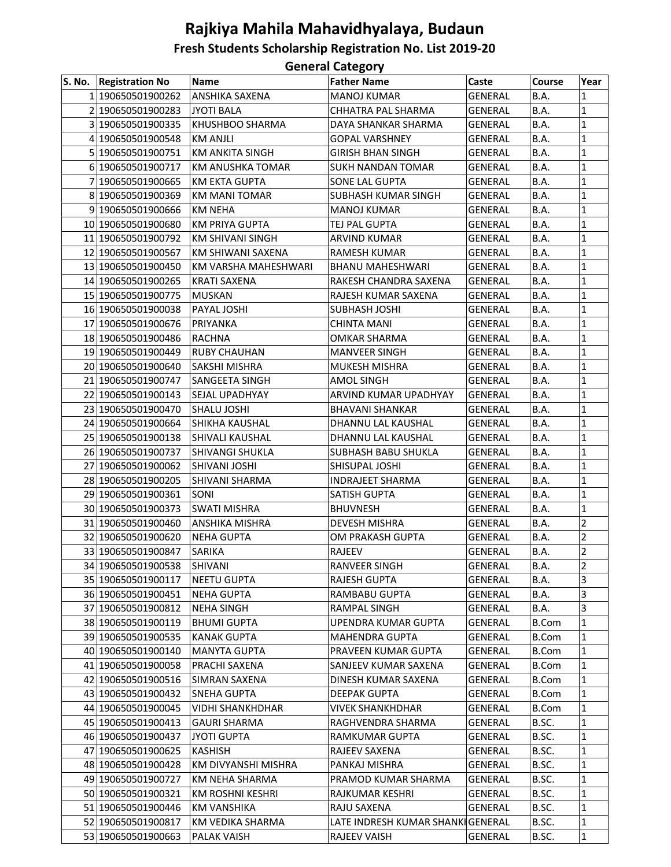# **Rajkiya Mahila Mahavidhyalaya, Budaun Fresh Students Scholarship Registration No. List 2019-20**

#### **General Category**

| S. No. Registration No | Name                    | <b>Father Name</b>                | Caste          | <b>Course</b> | Year           |
|------------------------|-------------------------|-----------------------------------|----------------|---------------|----------------|
| 1 190650501900262      | ANSHIKA SAXENA          | <b>MANOJ KUMAR</b>                | <b>GENERAL</b> | B.A.          | 1              |
| 2 190650501900283      | <b>JYOTI BALA</b>       | CHHATRA PAL SHARMA                | <b>GENERAL</b> | B.A.          | 1              |
| 3 190650501900335      | KHUSHBOO SHARMA         | DAYA SHANKAR SHARMA               | <b>GENERAL</b> | B.A.          | $\mathbf{1}$   |
| 4 190650501900548      | <b>KM ANJLI</b>         | <b>GOPAL VARSHNEY</b>             | <b>GENERAL</b> | B.A.          | 1              |
| 5 190650501900751      | <b>KM ANKITA SINGH</b>  | <b>GIRISH BHAN SINGH</b>          | <b>GENERAL</b> | B.A.          | 1              |
| 6 190650501900717      | <b>KM ANUSHKA TOMAR</b> | <b>SUKH NANDAN TOMAR</b>          | <b>GENERAL</b> | B.A.          | 1              |
| 7 190650501900665      | <b>KM EKTA GUPTA</b>    | SONE LAL GUPTA                    | <b>GENERAL</b> | B.A.          | 1              |
| 8 190650501900369      | <b>KM MANI TOMAR</b>    | SUBHASH KUMAR SINGH               | <b>GENERAL</b> | B.A.          | 1              |
| 9 190650501900666      | <b>KM NEHA</b>          | <b>MANOJ KUMAR</b>                | <b>GENERAL</b> | B.A.          | 1              |
| 10 190650501900680     | <b>KM PRIYA GUPTA</b>   | TEJ PAL GUPTA                     | <b>GENERAL</b> | B.A.          | 1              |
| 11 190650501900792     | KM SHIVANI SINGH        | ARVIND KUMAR                      | GENERAL        | B.A.          | 1              |
| 12 190650501900567     | KM SHIWANI SAXENA       | <b>RAMESH KUMAR</b>               | <b>GENERAL</b> | B.A.          | 1              |
| 13 190650501900450     | KM VARSHA MAHESHWARI    | <b>BHANU MAHESHWARI</b>           | <b>GENERAL</b> | B.A.          | 1              |
| 14 190650501900265     | <b>KRATI SAXENA</b>     | RAKESH CHANDRA SAXENA             | GENERAL        | B.A.          | 1              |
| 15 190650501900775     | <b>MUSKAN</b>           | RAJESH KUMAR SAXENA               | <b>GENERAL</b> | B.A.          | 1              |
| 16 190650501900038     | PAYAL JOSHI             | SUBHASH JOSHI                     | <b>GENERAL</b> | B.A.          | 1              |
| 17 190650501900676     | PRIYANKA                | <b>CHINTA MANI</b>                | GENERAL        | B.A.          | 1              |
| 18 190650501900486     | <b>RACHNA</b>           | <b>OMKAR SHARMA</b>               | <b>GENERAL</b> | B.A.          | 1              |
| 19 190650501900449     | <b>RUBY CHAUHAN</b>     | <b>MANVEER SINGH</b>              | <b>GENERAL</b> | B.A.          | 1              |
| 20 190650501900640     | SAKSHI MISHRA           | <b>MUKESH MISHRA</b>              | <b>GENERAL</b> | B.A.          | 1              |
| 21 190650501900747     | SANGEETA SINGH          | <b>AMOL SINGH</b>                 | <b>GENERAL</b> | B.A.          | $\mathbf{1}$   |
| 22 190650501900143     | SEJAL UPADHYAY          | ARVIND KUMAR UPADHYAY             | <b>GENERAL</b> | B.A.          | 1              |
| 23 190650501900470     | SHALU JOSHI             | <b>BHAVANI SHANKAR</b>            | GENERAL        | B.A.          | 1              |
| 24 190650501900664     | SHIKHA KAUSHAL          | DHANNU LAL KAUSHAL                | <b>GENERAL</b> | B.A.          | 1              |
| 25 190650501900138     | SHIVALI KAUSHAL         | DHANNU LAL KAUSHAL                | <b>GENERAL</b> | B.A.          | 1              |
| 26 190650501900737     | SHIVANGI SHUKLA         | SUBHASH BABU SHUKLA               | <b>GENERAL</b> | B.A.          | 1              |
| 27 190650501900062     | SHIVANI JOSHI           | SHISUPAL JOSHI                    | <b>GENERAL</b> | B.A.          | 1              |
| 28 190650501900205     | SHIVANI SHARMA          | <b>INDRAJEET SHARMA</b>           | <b>GENERAL</b> | B.A.          | 1              |
| 29 190650501900361     | SONI                    | SATISH GUPTA                      | <b>GENERAL</b> | B.A.          | 1              |
| 30 190650501900373     | <b>SWATI MISHRA</b>     | <b>BHUVNESH</b>                   | <b>GENERAL</b> | B.A.          | 1              |
| 31 190650501900460     | <b>ANSHIKA MISHRA</b>   | <b>DEVESH MISHRA</b>              | <b>GENERAL</b> | B.A.          | 2              |
| 32 190650501900620     | <b>NEHA GUPTA</b>       | OM PRAKASH GUPTA                  | <b>GENERAL</b> | <b>B.A.</b>   | 2              |
| 33 190650501900847     | SARIKA                  | RAJEEV                            | <b>GENERAL</b> | B.A.          | 2              |
| 34 190650501900538     | SHIVANI                 | RANVEER SINGH                     | <b>GENERAL</b> | B.A.          | $\overline{c}$ |
| 35 190650501900117     | NEETU GUPTA             | RAJESH GUPTA                      | GENERAL        | B.A.          | 3              |
| 36 190650501900451     | <b>NEHA GUPTA</b>       | <b>RAMBABU GUPTA</b>              | <b>GENERAL</b> | B.A.          | 3              |
| 37 190650501900812     | <b>NEHA SINGH</b>       | <b>RAMPAL SINGH</b>               | <b>GENERAL</b> | <b>B.A.</b>   | 3              |
| 38 190650501900119     | <b>BHUMI GUPTA</b>      | UPENDRA KUMAR GUPTA               | <b>GENERAL</b> | <b>B.Com</b>  | 1              |
| 39 190650501900535     | <b>KANAK GUPTA</b>      | <b>MAHENDRA GUPTA</b>             | <b>GENERAL</b> | <b>B.Com</b>  | 1              |
| 40 190650501900140     | <b>MANYTA GUPTA</b>     | PRAVEEN KUMAR GUPTA               | GENERAL        | <b>B.Com</b>  | 1              |
| 41 190650501900058     | PRACHI SAXENA           | SANJEEV KUMAR SAXENA              | <b>GENERAL</b> | <b>B.Com</b>  | 1              |
| 42 190650501900516     | SIMRAN SAXENA           | DINESH KUMAR SAXENA               | <b>GENERAL</b> | <b>B.Com</b>  | 1              |
| 43 190650501900432     | SNEHA GUPTA             | <b>DEEPAK GUPTA</b>               | <b>GENERAL</b> | <b>B.Com</b>  | 1              |
| 44 190650501900045     | <b>VIDHI SHANKHDHAR</b> | VIVEK SHANKHDHAR                  | <b>GENERAL</b> | <b>B.Com</b>  | 1              |
| 45 190650501900413     | <b>GAURI SHARMA</b>     | RAGHVENDRA SHARMA                 | <b>GENERAL</b> | B.SC.         | 1              |
| 46 190650501900437     | <b>JYOTI GUPTA</b>      | <b>RAMKUMAR GUPTA</b>             | GENERAL        | B.SC.         | 1              |
| 47 190650501900625     | <b>KASHISH</b>          | RAJEEV SAXENA                     | <b>GENERAL</b> | B.SC.         | 1              |
| 48 190650501900428     | KM DIVYANSHI MISHRA     | PANKAJ MISHRA                     | <b>GENERAL</b> | B.SC.         | 1              |
| 49 190650501900727     | KM NEHA SHARMA          | PRAMOD KUMAR SHARMA               | <b>GENERAL</b> | B.SC.         | 1              |
| 50 190650501900321     | KM ROSHNI KESHRI        | RAJKUMAR KESHRI                   | <b>GENERAL</b> | B.SC.         | 1              |
| 51 190650501900446     | <b>KM VANSHIKA</b>      | RAJU SAXENA                       | <b>GENERAL</b> | B.SC.         | 1              |
| 52 190650501900817     | KM VEDIKA SHARMA        | LATE INDRESH KUMAR SHANKI GENERAL |                | B.SC.         | 1              |
| 53 190650501900663     | PALAK VAISH             | RAJEEV VAISH                      | <b>GENERAL</b> | B.SC.         | 1              |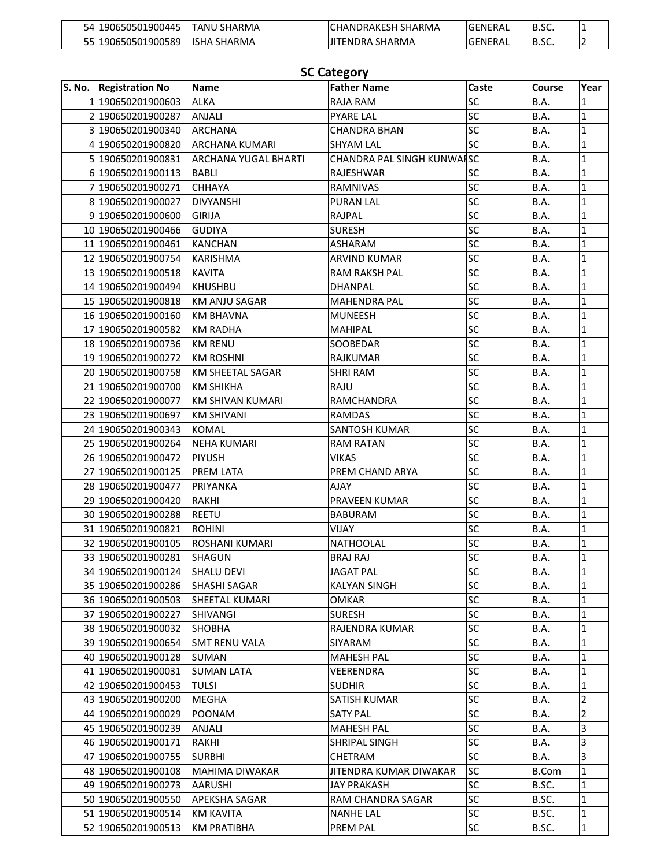| 54 | 190650501900445 | TANU SHARMA           | ' SHARMA<br><b>CHANDRAKESH</b> | IGENERAL       | IB.SC. |  |
|----|-----------------|-----------------------|--------------------------------|----------------|--------|--|
|    | 190650501900589 | <b>ISHA</b><br>SHARMA | . SHARMA<br>TENDRA             | <b>GENERAL</b> | IB.SC. |  |

|        | <b>SC Category</b>     |                         |                                   |           |              |                |  |  |
|--------|------------------------|-------------------------|-----------------------------------|-----------|--------------|----------------|--|--|
| S. No. | <b>Registration No</b> | <b>Name</b>             | <b>Father Name</b>                | Caste     | Course       | Year           |  |  |
|        | 1 190650201900603      | <b>ALKA</b>             | <b>RAJA RAM</b>                   | SC        | B.A.         | 1              |  |  |
|        | 2 190650201900287      | <b>ANJALI</b>           | <b>PYARE LAL</b>                  | SC        | B.A.         | $\mathbf{1}$   |  |  |
|        | 3 190650201900340      | <b>ARCHANA</b>          | <b>CHANDRA BHAN</b>               | SC        | B.A.         | $\mathbf{1}$   |  |  |
|        | 4 190650201900820      | ARCHANA KUMARI          | <b>SHYAM LAL</b>                  | SC        | B.A.         | $\mathbf 1$    |  |  |
|        | 5 190650201900831      | ARCHANA YUGAL BHARTI    | <b>CHANDRA PAL SINGH KUNWAISC</b> |           | B.A.         | $\mathbf{1}$   |  |  |
|        | 6 190650201900113      | <b>BABLI</b>            | RAJESHWAR                         | SC        | B.A.         | $\mathbf{1}$   |  |  |
|        | 7 190650201900271      | <b>CHHAYA</b>           | RAMNIVAS                          | SC        | B.A.         | $\mathbf 1$    |  |  |
|        | 8 190650201900027      | <b>DIVYANSHI</b>        | <b>PURAN LAL</b>                  | SC        | B.A.         | $\mathbf{1}$   |  |  |
|        | 9 190650201900600      | <b>GIRIJA</b>           | RAJPAL                            | SC        | B.A.         | $\mathbf{1}$   |  |  |
|        | 10 190650201900466     | <b>GUDIYA</b>           | <b>SURESH</b>                     | SC        | B.A.         | $\mathbf 1$    |  |  |
|        | 11 190650201900461     | <b>KANCHAN</b>          | ASHARAM                           | SC        | B.A.         | $\mathbf{1}$   |  |  |
|        | 12 190650201900754     | <b>KARISHMA</b>         | ARVIND KUMAR                      | SC        | B.A.         | $\mathbf{1}$   |  |  |
|        | 13 190650201900518     | <b>KAVITA</b>           | RAM RAKSH PAL                     | SC        | B.A.         | $\mathbf 1$    |  |  |
|        | 14 190650201900494     | <b>KHUSHBU</b>          | <b>DHANPAL</b>                    | SC        | B.A.         | $\mathbf{1}$   |  |  |
|        | 15 190650201900818     | <b>KM ANJU SAGAR</b>    | <b>MAHENDRA PAL</b>               | SC        | B.A.         | $\mathbf 1$    |  |  |
|        | 16 190650201900160     | <b>KM BHAVNA</b>        | <b>MUNEESH</b>                    | SC        | B.A.         | $\mathbf 1$    |  |  |
|        | 17 190650201900582     | <b>KM RADHA</b>         | <b>MAHIPAL</b>                    | SC        | B.A.         | $\mathbf{1}$   |  |  |
|        | 18 190650201900736     | <b>KM RENU</b>          | SOOBEDAR                          | SC        | B.A.         | $\mathbf{1}$   |  |  |
|        | 19 190650201900272     | <b>KM ROSHNI</b>        | <b>RAJKUMAR</b>                   | SC        | B.A.         | $\mathbf 1$    |  |  |
|        | 20 190650201900758     | <b>KM SHEETAL SAGAR</b> | <b>SHRI RAM</b>                   | SC        | B.A.         | $\mathbf{1}$   |  |  |
|        | 21 190650201900700     | <b>KM SHIKHA</b>        | RAJU                              | SC        | B.A.         | $\mathbf 1$    |  |  |
|        | 22 190650201900077     | <b>KM SHIVAN KUMARI</b> | RAMCHANDRA                        | SC        | B.A.         | $\mathbf 1$    |  |  |
|        | 23 190650201900697     | <b>KM SHIVANI</b>       | <b>RAMDAS</b>                     | SC        | B.A.         | $\mathbf{1}$   |  |  |
|        | 24 190650201900343     | KOMAL                   | <b>SANTOSH KUMAR</b>              | SC        | B.A.         | $\mathbf{1}$   |  |  |
|        | 25 190650201900264     | <b>NEHA KUMARI</b>      | <b>RAM RATAN</b>                  | SC        | B.A.         | $\mathbf 1$    |  |  |
|        | 26 190650201900472     | PIYUSH                  | <b>VIKAS</b>                      | SC        | B.A.         | $\mathbf{1}$   |  |  |
|        | 27 190650201900125     | PREM LATA               | PREM CHAND ARYA                   | SC        | B.A.         | $\mathbf 1$    |  |  |
|        | 28 190650201900477     | PRIYANKA                | <b>AJAY</b>                       | SC        | B.A.         | $\mathbf 1$    |  |  |
|        | 29 190650201900420     | <b>RAKHI</b>            | PRAVEEN KUMAR                     | SC        | B.A.         | $\mathbf{1}$   |  |  |
|        | 30 190650201900288     | <b>REETU</b>            | <b>BABURAM</b>                    | SC        | B.A.         | $\mathbf{1}$   |  |  |
|        | 31 190650201900821     | <b>ROHINI</b>           | <b>VIJAY</b>                      | SC        | B.A.         | 1              |  |  |
|        | 32 190650201900105     | ROSHANI KUMARI          | <b>NATHOOLAL</b>                  | SC        | B.A.         | $\mathbf{1}$   |  |  |
|        | 33 190650201900281     | SHAGUN                  | <b>BRAJ RAJ</b>                   | SC        | B.A.         | $\mathbf 1$    |  |  |
|        | 34 190650201900124     | SHALU DEVI              | JAGAT PAL                         | SC        | B.A.         | $\mathbf{1}$   |  |  |
|        | 35 190650201900286     | SHASHI SAGAR            | <b>KALYAN SINGH</b>               | SC        | B.A.         | 1              |  |  |
|        | 36 190650201900503     | <b>SHEETAL KUMARI</b>   | <b>OMKAR</b>                      | SC        | B.A.         | 1              |  |  |
|        | 37 190650201900227     | SHIVANGI                | <b>SURESH</b>                     | SC        | B.A.         | 1              |  |  |
|        | 38 190650201900032     | SHOBHA                  | RAJENDRA KUMAR                    | <b>SC</b> | B.A.         | 1              |  |  |
|        | 39 190650201900654     | <b>SMT RENU VALA</b>    | SIYARAM                           | SC        | B.A.         | 1              |  |  |
|        | 40 190650201900128     | SUMAN                   | <b>MAHESH PAL</b>                 | SC        | B.A.         | 1              |  |  |
|        | 41 190650201900031     | <b>SUMAN LATA</b>       | VEERENDRA                         | SC        | B.A.         | 1              |  |  |
|        | 42 190650201900453     | <b>TULSI</b>            | <b>SUDHIR</b>                     | SC        | B.A.         | 1              |  |  |
|        |                        | MEGHA                   |                                   | SC        | B.A.         | $\overline{2}$ |  |  |
|        | 43 190650201900200     | POONAM                  | SATISH KUMAR<br><b>SATY PAL</b>   | <b>SC</b> | B.A.         | $\overline{2}$ |  |  |
|        | 44 190650201900029     |                         |                                   |           |              |                |  |  |
|        | 45 190650201900239     | ANJALI                  | <b>MAHESH PAL</b>                 | SC        | B.A.         | 3              |  |  |
|        | 46 190650201900171     | RAKHI                   | SHRIPAL SINGH                     | SC        | B.A.         | 3              |  |  |
|        | 47 190650201900755     | <b>SURBHI</b>           | CHETRAM                           | SC        | B.A.         | 3              |  |  |
|        | 48 190650201900108     | <b>MAHIMA DIWAKAR</b>   | JITENDRA KUMAR DIWAKAR            | SC        | <b>B.Com</b> | 1              |  |  |
|        | 49 190650201900273     | AARUSHI                 | <b>JAY PRAKASH</b>                | <b>SC</b> | B.SC.        | 1              |  |  |
|        | 50 190650201900550     | APEKSHA SAGAR           | RAM CHANDRA SAGAR                 | <b>SC</b> | B.SC.        | 1              |  |  |
|        | 51 190650201900514     | <b>KM KAVITA</b>        | <b>NANHE LAL</b>                  | SC        | B.SC.        | $\mathbf{1}$   |  |  |

51 190650201900514 KM KAVITA NANHE LAL SC B.SC. 1<br>52 190650201900513 KM PRATIBHA PREM PAL SC B.SC. 1 52 190650201900513 KM PRATIBHA PREM PAL SC B.SC. 1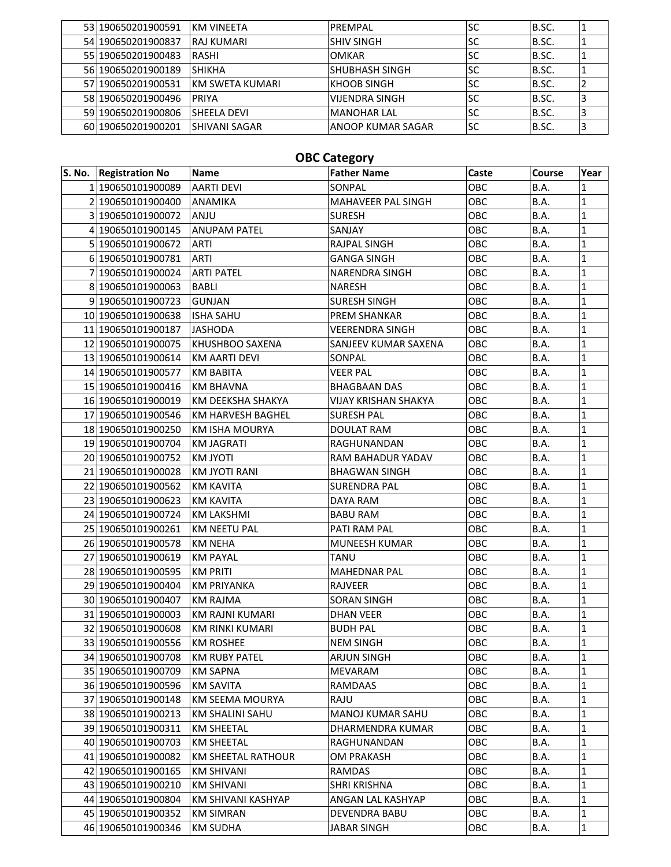| 53 190650201900591    | IKM VINFFTA       | PREMPAL                  | SC | B.SC. |  |
|-----------------------|-------------------|--------------------------|----|-------|--|
| 54 190650201900837    | <b>RAJ KUMARI</b> | ISHIV SINGH              | SC | B.SC. |  |
| 55 1906 5020 1900 483 | RASHI             | <b>OMKAR</b>             | SC | B.SC. |  |
| 56 1906 5020 1900 189 | <b>SHIKHA</b>     | SHUBHASH SINGH           | SC | B.SC. |  |
| 57 190650201900531    | IKM SWETA KUMARI  | KHOOB SINGH              | SC | B.SC. |  |
| 58 190650201900496    | PRIYA             | VIJENDRA SINGH           | SC | B.SC. |  |
| 59 190650201900806    | ISHEELA DEVI      | MANOHAR LAL              | SC | B.SC. |  |
| 60 190650201900201    | SHIVANI SAGAR     | <b>ANOOP KUMAR SAGAR</b> | SC | B.SC. |  |

# **OBC Category**

| S. No. Registration No | <b>Name</b>            | <b>Father Name</b>    | Caste      | <b>Course</b> | Year         |
|------------------------|------------------------|-----------------------|------------|---------------|--------------|
| 1 190650101900089      | <b>AARTI DEVI</b>      | SONPAL                | OBC        | B.A.          | $\mathbf{1}$ |
| 2 190650101900400      | <b>ANAMIKA</b>         | MAHAVEER PAL SINGH    | OBC        | B.A.          | $\mathbf{1}$ |
| 3 190650101900072      | <b>ANJU</b>            | <b>SURESH</b>         | OBC        | B.A.          | 1            |
| 4 190650101900145      | <b>ANUPAM PATEL</b>    | SANJAY                | OBC        | <b>B.A.</b>   | $\mathbf{1}$ |
| 5 190650101900672      | <b>ARTI</b>            | <b>RAJPAL SINGH</b>   | OBC        | <b>B.A.</b>   | $\mathbf{1}$ |
| 6 190650101900781      | <b>ARTI</b>            | <b>GANGA SINGH</b>    | OBC        | <b>B.A.</b>   | $\mathbf{1}$ |
| 7 190650101900024      | <b>ARTI PATEL</b>      | <b>NARENDRA SINGH</b> | OBC        | <b>B.A.</b>   | $\mathbf{1}$ |
| 8 190650101900063      | <b>BABLI</b>           | <b>NARESH</b>         | OBC        | <b>B.A.</b>   | $\mathbf{1}$ |
| 9 190650101900723      | <b>GUNJAN</b>          | <b>SURESH SINGH</b>   | OBC        | <b>B.A.</b>   | 1            |
| 10 190650101900638     | <b>ISHA SAHU</b>       | PREM SHANKAR          | OBC        | <b>B.A.</b>   | $\mathbf{1}$ |
| 11 190650101900187     | <b>JASHODA</b>         | VEERENDRA SINGH       | OBC        | <b>B.A.</b>   | $\mathbf{1}$ |
| 12 190650101900075     | KHUSHBOO SAXENA        | SANJEEV KUMAR SAXENA  | OBC        | <b>B.A.</b>   | $\mathbf{1}$ |
| 13 190650101900614     | <b>KM AARTI DEVI</b>   | SONPAL                | OBC        | <b>B.A.</b>   | $\mathbf{1}$ |
| 14 190650101900577     | <b>KM BABITA</b>       | VEER PAL              | OBC        | <b>B.A.</b>   | $\mathbf{1}$ |
| 15 190650101900416     | <b>KM BHAVNA</b>       | <b>BHAGBAAN DAS</b>   | OBC        | <b>B.A.</b>   | 1            |
| 16 190650101900019     | KM DEEKSHA SHAKYA      | VIJAY KRISHAN SHAKYA  | OBC        | B.A.          | 1            |
| 17 190650101900546     | KM HARVESH BAGHEL      | <b>SURESH PAL</b>     | OBC        | <b>B.A.</b>   | $\mathbf{1}$ |
| 18 190650101900250     | KM ISHA MOURYA         | <b>DOULAT RAM</b>     | OBC        | <b>B.A.</b>   | $\mathbf{1}$ |
| 19 190650101900704     | <b>KM JAGRATI</b>      | RAGHUNANDAN           | OBC        | <b>B.A.</b>   | $\mathbf 1$  |
| 20 190650101900752     | KM JYOTI               | RAM BAHADUR YADAV     | OBC        | <b>B.A.</b>   | 1            |
| 21 190650101900028     | <b>KM JYOTI RANI</b>   | <b>BHAGWAN SINGH</b>  | OBC        | B.A.          | 1            |
| 22 190650101900562     | <b>KM KAVITA</b>       | <b>SURENDRA PAL</b>   | OBC        | <b>B.A.</b>   | 1            |
| 23 190650101900623     | KM KAVITA              | DAYA RAM              | OBC        | <b>B.A.</b>   | $\mathbf{1}$ |
| 24 190650101900724     | <b>KM LAKSHMI</b>      | <b>BABU RAM</b>       | OBC        | <b>B.A.</b>   | $\mathbf{1}$ |
| 25 190650101900261     | <b>KM NEETU PAL</b>    | PATI RAM PAL          | OBC        | B.A.          | $\mathbf{1}$ |
| 26 190650101900578     | KM NEHA                | <b>MUNEESH KUMAR</b>  | OBC        | <b>B.A.</b>   | $\mathbf{1}$ |
| 27 190650101900619     | <b>KM PAYAL</b>        | TANU                  | OBC        | <b>B.A.</b>   | 1            |
| 28 190650101900595     | <b>KM PRITI</b>        | <b>MAHEDNAR PAL</b>   | OBC        | <b>B.A.</b>   | $\mathbf{1}$ |
| 29 190650101900404     | KM PRIYANKA            | <b>RAJVEER</b>        | OBC        | <b>B.A.</b>   | $\mathbf{1}$ |
| 30 190650101900407     | <b>KM RAJMA</b>        | <b>SORAN SINGH</b>    | OBC        | B.A.          | $\mathbf{1}$ |
| 31 190650101900003     | <b>KM RAJNI KUMARI</b> | <b>DHAN VEER</b>      | OBC        | B.A.          | $\mathbf{1}$ |
| 32 190650101900608     | <b>KM RINKI KUMARI</b> | <b>BUDH PAL</b>       | OBC        | B.A.          | 1            |
| 33 190650101900556     | <b>KM ROSHEE</b>       | <b>NEM SINGH</b>      | OBC        | B.A.          | 1            |
| 34 190650101900708     | KM RUBY PATEL          | <b>ARJUN SINGH</b>    | OBC        | B.A.          | $\mathbf{1}$ |
| 35 190650101900709     | <b>KM SAPNA</b>        | MEVARAM               | <b>OBC</b> | B.A.          | 1            |
| 36 190650101900596     | <b>KM SAVITA</b>       | <b>RAMDAAS</b>        | OBC        | B.A.          | 1            |
| 37 190650101900148     | KM SEEMA MOURYA        | RAJU                  | OBC        | B.A.          | 1            |
| 38 190650101900213     | KM SHALINI SAHU        | MANOJ KUMAR SAHU      | OBC        | B.A.          | 1            |
| 39 190650101900311     | <b>KM SHEETAL</b>      | DHARMENDRA KUMAR      | OBC        | B.A.          | 1            |
| 40 190650101900703     | <b>KM SHEETAL</b>      | RAGHUNANDAN           | OBC        | B.A.          | 1            |
| 41 190650101900082     | KM SHEETAL RATHOUR     | OM PRAKASH            | OBC        | B.A.          | 1            |
| 42 190650101900165     | <b>KM SHIVANI</b>      | RAMDAS                | OBC        | B.A.          | 1            |
| 43 190650101900210     | <b>KM SHIVANI</b>      | SHRI KRISHNA          | OBC        | B.A.          | 1            |
| 44 190650101900804     | KM SHIVANI KASHYAP     | ANGAN LAL KASHYAP     | OBC        | B.A.          | 1            |
| 45 190650101900352     | <b>KM SIMRAN</b>       | DEVENDRA BABU         | OBC        | B.A.          | 1            |
| 46 190650101900346     | <b>KM SUDHA</b>        | JABAR SINGH           | OBC        | B.A.          | 1            |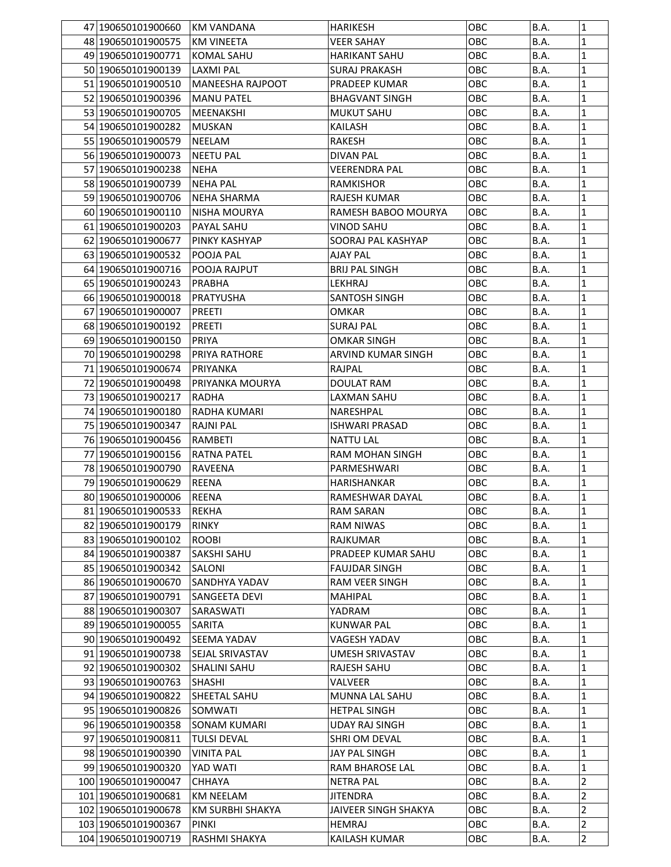| 47 190650101900660       | IKM VANDANA             | <b>HARIKESH</b>                                | OBC | B.A. | 1           |
|--------------------------|-------------------------|------------------------------------------------|-----|------|-------------|
| 48 190650101900575       | <b>KM VINEETA</b>       | <b>VEER SAHAY</b>                              | OBC | B.A. | 1           |
| 49 190650101900771       | <b>KOMAL SAHU</b>       | <b>HARIKANT SAHU</b>                           | OBC | B.A. | 1           |
| 50 190650101900139       | <b>LAXMI PAL</b>        | <b>SURAJ PRAKASH</b>                           | OBC | B.A. | 1           |
| 51 190650101900510       | <b>MANEESHA RAJPOOT</b> | PRADEEP KUMAR                                  | OBC | B.A. | 1           |
| 52 190650101900396       | <b>MANU PATEL</b>       | <b>BHAGVANT SINGH</b>                          | OBC | B.A. | 1           |
| 53 190650101900705       | MEENAKSHI               | <b>MUKUT SAHU</b>                              | OBC | B.A. | 1           |
| 54 190650101900282       | <b>MUSKAN</b>           | <b>KAILASH</b>                                 | OBC | B.A. | 1           |
| 55 190650101900579       | NEELAM                  | <b>RAKESH</b>                                  | OBC | B.A. | 1           |
| 56 190650101900073       | <b>NEETU PAL</b>        | <b>DIVAN PAL</b>                               | OBC | B.A. | 1           |
| 57 190650101900238       | <b>NEHA</b>             | <b>VEERENDRA PAL</b>                           | OBC | B.A. | 1           |
| 58 190650101900739       | <b>NEHA PAL</b>         | <b>RAMKISHOR</b>                               | OBC | B.A. | 1           |
| 59 190650101900706       | <b>NEHA SHARMA</b>      | <b>RAJESH KUMAR</b>                            | OBC | B.A. | 1           |
| 60 190650101900110       | <b>NISHA MOURYA</b>     | RAMESH BABOO MOURYA                            | OBC | B.A. | 1           |
|                          |                         |                                                |     |      |             |
| 61 190650101900203       | <b>PAYAL SAHU</b>       | <b>VINOD SAHU</b><br><b>SOORAJ PAL KASHYAP</b> | OBC | B.A. | 1           |
| 62 190650101900677       | <b>PINKY KASHYAP</b>    |                                                | OBC | B.A. | 1           |
| 63 190650101900532       | POOJA PAL               | <b>AJAY PAL</b>                                | OBC | B.A. | 1           |
| 64 190650101900716       | POOJA RAJPUT            | <b>BRIJ PAL SINGH</b>                          | OBC | B.A. | 1           |
| 65 190650101900243       | PRABHA                  | <b>LEKHRAJ</b>                                 | OBC | B.A. | 1           |
| 66 190650101900018       | PRATYUSHA               | SANTOSH SINGH                                  | OBC | B.A. | 1           |
| 67 190650101900007       | <b>PREETI</b>           | <b>OMKAR</b>                                   | OBC | B.A. | 1           |
| 68 190650101900192       | <b>PREETI</b>           | <b>SURAJ PAL</b>                               | OBC | B.A. | 1           |
| 69 190650101900150       | PRIYA                   | <b>OMKAR SINGH</b>                             | OBC | B.A. | 1           |
| 70 190650101900298       | PRIYA RATHORE           | ARVIND KUMAR SINGH                             | OBC | B.A. | 1           |
| 71 190650101900674       | PRIYANKA                | RAJPAL                                         | OBC | B.A. | 1           |
| 72 190650101900498       | PRIYANKA MOURYA         | <b>DOULAT RAM</b>                              | OBC | B.A. | 1           |
| 73 190650101900217       | <b>RADHA</b>            | LAXMAN SAHU                                    | OBC | B.A. | 1           |
| 74 190650101900180       | <b>RADHA KUMARI</b>     | NARESHPAL                                      | OBC | B.A. | 1           |
| 75 190650101900347       | <b>RAJNI PAL</b>        | <b>ISHWARI PRASAD</b>                          | OBC | B.A. | 1           |
| 76 190650101900456       | RAMBETI                 | <b>NATTU LAL</b>                               | OBC | B.A. | 1           |
| 77 190650101900156       | <b>RATNA PATEL</b>      | <b>RAM MOHAN SINGH</b>                         | OBC | B.A. | 1           |
| 78 190650101900790       | <b>RAVEENA</b>          | PARMESHWARI                                    | OBC | B.A. | 1           |
| 79 190650101900629       | <b>REENA</b>            | <b>HARISHANKAR</b>                             | OBC | B.A. | 1           |
| 80 190650101900006       | REENA                   | RAMESHWAR DAYAL                                | OBC | B.A. | 1           |
| 81 190650101900533 REKHA |                         | <b>RAM SARAN</b>                               | OBC | B.A. | $\mathbf 1$ |
| 82 190650101900179       | RINKY                   | RAM NIWAS                                      | OBC | B.A. | 1           |
| 83 190650101900102       | <b>ROOBI</b>            | <b>RAJKUMAR</b>                                | OBC | B.A. | 1           |
| 84 190650101900387       | <b>SAKSHI SAHU</b>      | PRADEEP KUMAR SAHU                             | OBC | B.A. | 1           |
| 85 190650101900342       | SALONI                  | <b>FAUJDAR SINGH</b>                           | OBC | B.A. | 1           |
| 86 190650101900670       | SANDHYA YADAV           | <b>RAM VEER SINGH</b>                          | OBC | B.A. | 1           |
| 87 190650101900791       | SANGEETA DEVI           | <b>MAHIPAL</b>                                 | OBC | B.A. | 1           |
| 88 190650101900307       | SARASWATI               | YADRAM                                         | OBC | B.A. | 1           |
| 89 190650101900055       | SARITA                  | <b>KUNWAR PAL</b>                              | OBC | B.A. | 1           |
| 90 190650101900492       | SEEMA YADAV             | VAGESH YADAV                                   | OBC | B.A. | 1           |
|                          |                         |                                                |     |      |             |
| 91 190650101900738       | <b>SEJAL SRIVASTAV</b>  | <b>UMESH SRIVASTAV</b>                         | OBC | B.A. | 1           |
| 92 190650101900302       | <b>SHALINI SAHU</b>     | RAJESH SAHU                                    | OBC | B.A. | 1           |
| 93 190650101900763       | <b>SHASHI</b>           | VALVEER                                        | OBC | B.A. | 1           |
| 94 190650101900822       | SHEETAL SAHU            | MUNNA LAL SAHU                                 | OBC | B.A. | 1           |
| 95 190650101900826       | SOMWATI                 | <b>HETPAL SINGH</b>                            | OBC | B.A. | 1           |
| 96 190650101900358       | <b>SONAM KUMARI</b>     | <b>UDAY RAJ SINGH</b>                          | OBC | B.A. | 1           |
| 97 190650101900811       | <b>TULSI DEVAL</b>      | SHRI OM DEVAL                                  | OBC | B.A. | 1           |
| 98 190650101900390       | <b>VINITA PAL</b>       | JAY PAL SINGH                                  | OBC | B.A. | 1           |
| 99 190650101900320       | YAD WATI                | RAM BHAROSE LAL                                | OBC | B.A. | 1           |
| 100 190650101900047      | <b>CHHAYA</b>           | NETRA PAL                                      | OBC | B.A. | 2           |
| 101 190650101900681      | <b>KM NEELAM</b>        | <b>JITENDRA</b>                                | OBC | B.A. | 2           |
| 102 190650101900678      | KM SURBHI SHAKYA        | <b>JAIVEER SINGH SHAKYA</b>                    | OBC | B.A. | 2           |
| 103 190650101900367      | <b>PINKI</b>            | <b>HEMRAJ</b>                                  | OBC | B.A. | 2           |
| 104 190650101900719      | RASHMI SHAKYA           | KAILASH KUMAR                                  | OBC | B.A. | 2           |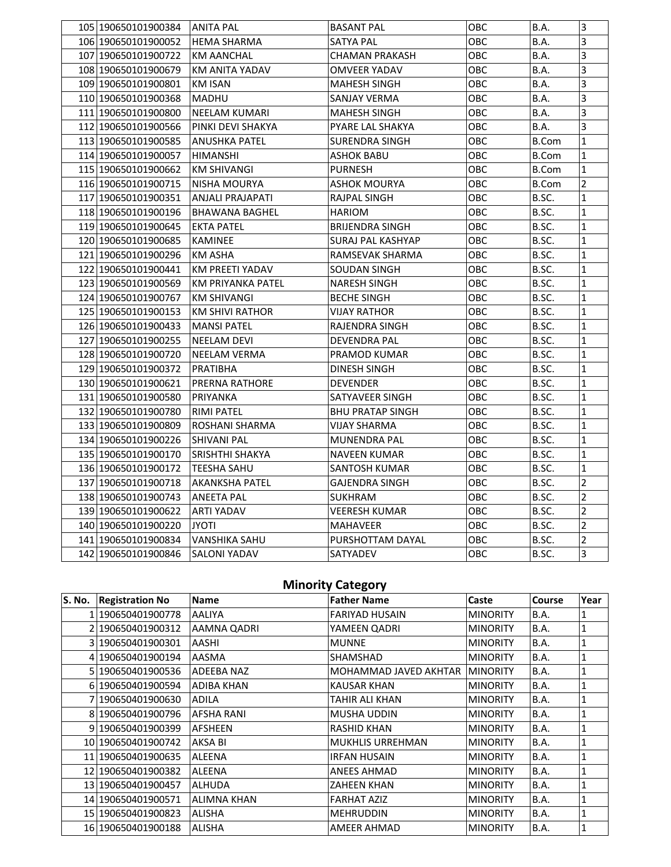| 105 190650101900384 | ANITA PAL              | <b>BASANT PAL</b>       | овс | B.A.         | 3              |
|---------------------|------------------------|-------------------------|-----|--------------|----------------|
| 106 190650101900052 | <b>HEMA SHARMA</b>     | SATYA PAL               | OBC | B.A.         | 3              |
| 107 190650101900722 | <b>KM AANCHAL</b>      | <b>CHAMAN PRAKASH</b>   | OBC | B.A.         | 3              |
| 108 190650101900679 | KM ANITA YADAV         | <b>OMVEER YADAV</b>     | OBC | B.A.         | 3              |
| 109 190650101900801 | <b>KM ISAN</b>         | <b>MAHESH SINGH</b>     | OBC | B.A.         | 3              |
| 110 190650101900368 | MADHU                  | SANJAY VERMA            | OBC | B.A.         | 3              |
| 111 190650101900800 | NEELAM KUMARI          | <b>MAHESH SINGH</b>     | OBC | B.A.         | 3              |
| 112 190650101900566 | PINKI DEVI SHAKYA      | PYARE LAL SHAKYA        | ОВС | B.A.         | 3              |
| 113 190650101900585 | <b>ANUSHKA PATEL</b>   | <b>SURENDRA SINGH</b>   | OBC | <b>B.Com</b> | $\mathbf{1}$   |
| 114 190650101900057 | HIMANSHI               | <b>ASHOK BABU</b>       | OBC | <b>B.Com</b> | 1              |
| 115 190650101900662 | <b>KM SHIVANGI</b>     | <b>PURNESH</b>          | OBC | B.Com        | 1              |
| 116 190650101900715 | NISHA MOURYA           | <b>ASHOK MOURYA</b>     | OBC | <b>B.Com</b> | $\overline{2}$ |
| 117 190650101900351 | ANJALI PRAJAPATI       | RAJPAL SINGH            | OBC | B.SC.        | $\mathbf{1}$   |
| 118 190650101900196 | <b>BHAWANA BAGHEL</b>  | <b>HARIOM</b>           | OBC | B.SC.        | $\mathbf{1}$   |
| 119 190650101900645 | <b>EKTA PATEL</b>      | <b>BRIJENDRA SINGH</b>  | OBC | B.SC.        | $\mathbf{1}$   |
| 120 190650101900685 | <b>KAMINEE</b>         | SURAJ PAL KASHYAP       | OBC | B.SC.        | 1              |
| 121 190650101900296 | <b>KM ASHA</b>         | RAMSEVAK SHARMA         | OBC | B.SC.        | $\mathbf{1}$   |
| 122 190650101900441 | KM PREETI YADAV        | SOUDAN SINGH            | ОВС | B.SC.        | $\mathbf{1}$   |
| 123 190650101900569 | KM PRIYANKA PATEL      | <b>NARESH SINGH</b>     | OBC | B.SC.        | 1              |
| 124 190650101900767 | <b>KM SHIVANGI</b>     | <b>BECHE SINGH</b>      | OBC | B.SC.        | $\mathbf{1}$   |
| 125 190650101900153 | <b>KM SHIVI RATHOR</b> | VIJAY RATHOR            | ОВС | B.SC.        | 1              |
| 126 190650101900433 | <b>MANSI PATEL</b>     | RAJENDRA SINGH          | OBC | B.SC.        | $\mathbf{1}$   |
| 127 190650101900255 | NEELAM DEVI            | <b>DEVENDRA PAL</b>     | OBC | B.SC.        | $\mathbf{1}$   |
| 128 190650101900720 | NEELAM VERMA           | PRAMOD KUMAR            | ОВС | B.SC.        | 1              |
| 129 190650101900372 | PRATIBHA               | DINESH SINGH            | OBC | B.SC.        | $\mathbf{1}$   |
| 130 190650101900621 | <b>PRERNA RATHORE</b>  | DEVENDER                | OBC | B.SC.        | $\mathbf{1}$   |
| 131 190650101900580 | PRIYANKA               | SATYAVEER SINGH         | OBC | B.SC.        | 1              |
| 132 190650101900780 | <b>RIMI PATEL</b>      | <b>BHU PRATAP SINGH</b> | OBC | B.SC.        | $\mathbf{1}$   |
| 133 190650101900809 | ROSHANI SHARMA         | VIJAY SHARMA            | OBC | B.SC.        | $\mathbf{1}$   |
| 134 190650101900226 | <b>SHIVANI PAL</b>     | MUNENDRA PAL            | OBC | B.SC.        | $\mathbf{1}$   |
| 135 190650101900170 | SRISHTHI SHAKYA        | <b>NAVEEN KUMAR</b>     | OBC | B.SC.        | $\mathbf{1}$   |
| 136 190650101900172 | TEESHA SAHU            | SANTOSH KUMAR           | OBC | B.SC.        | $\mathbf{1}$   |
| 137 190650101900718 | <b>AKANKSHA PATEL</b>  | <b>GAJENDRA SINGH</b>   | OBC | B.SC.        | 2              |
| 138 190650101900743 | <b>ANEETA PAL</b>      | SUKHRAM                 | OBC | B.SC.        | $\overline{2}$ |
| 139 190650101900622 | <b>ARTI YADAV</b>      | <b>VEERESH KUMAR</b>    | OBC | B.SC.        | $\overline{2}$ |
| 140 190650101900220 | <b>JYOTI</b>           | <b>MAHAVEER</b>         | OBC | B.SC.        | $\overline{2}$ |
| 141 190650101900834 | <b>VANSHIKA SAHU</b>   | PURSHOTTAM DAYAL        | OBC | B.SC.        | $\overline{2}$ |
| 142 190650101900846 | <b>SALONI YADAV</b>    | SATYADEV                | OBC | B.SC.        | 3              |

### **Minority Category**

| S. No. | <b>Registration No</b> | <b>Name</b>       | <b>Father Name</b>      | Caste           | Course      | Year |
|--------|------------------------|-------------------|-------------------------|-----------------|-------------|------|
|        | 1 190650401900778      | AALIYA            | <b>FARIYAD HUSAIN</b>   | <b>MINORITY</b> | B.A.        |      |
|        | 2 190650401900312      | AAMNA QADRI       | YAMEEN QADRI            | <b>MINORITY</b> | <b>B.A.</b> | 1    |
|        | 3 190650401900301      | AASHI             | <b>MUNNE</b>            | <b>MINORITY</b> | B.A.        | 1    |
|        | 4 190650401900194      | AASMA             | <b>SHAMSHAD</b>         | <b>MINORITY</b> | B.A.        |      |
|        | 5 190650401900536      | ADEEBA NAZ        | MOHAMMAD JAVED AKHTAR   | <b>MINORITY</b> | B.A.        | 1    |
|        | 6 190650401900594      | <b>ADIBA KHAN</b> | <b>KAUSAR KHAN</b>      | <b>MINORITY</b> | B.A.        |      |
|        | 7 190650401900630      | <b>ADILA</b>      | TAHIR ALI KHAN          | <b>MINORITY</b> | B.A.        |      |
|        | 8 190650401900796      | <b>AFSHA RANI</b> | <b>MUSHA UDDIN</b>      | <b>MINORITY</b> | B.A.        | 1    |
|        | 9 190650401900399      | <b>AFSHEEN</b>    | <b>RASHID KHAN</b>      | <b>MINORITY</b> | B.A.        |      |
|        | 10 190650401900742     | AKSA BI           | <b>MUKHLIS URREHMAN</b> | <b>MINORITY</b> | B.A.        |      |
|        | 11 190650401900635     | <b>ALEENA</b>     | <b>IRFAN HUSAIN</b>     | <b>MINORITY</b> | <b>B.A.</b> |      |
|        | 12 190650401900382     | <b>ALEENA</b>     | <b>ANEES AHMAD</b>      | <b>MINORITY</b> | B.A.        |      |
|        | 13 190650401900457     | <b>ALHUDA</b>     | ZAHEEN KHAN             | <b>MINORITY</b> | B.A.        |      |
|        | 14 190650401900571     | ALIMNA KHAN       | <b>FARHAT AZIZ</b>      | <b>MINORITY</b> | <b>B.A.</b> | 1    |
|        | 15 190650401900823     | <b>ALISHA</b>     | <b>MEHRUDDIN</b>        | <b>MINORITY</b> | B.A.        |      |
|        | 16 190650401900188     | <b>ALISHA</b>     | AMEER AHMAD             | <b>MINORITY</b> | B.A.        |      |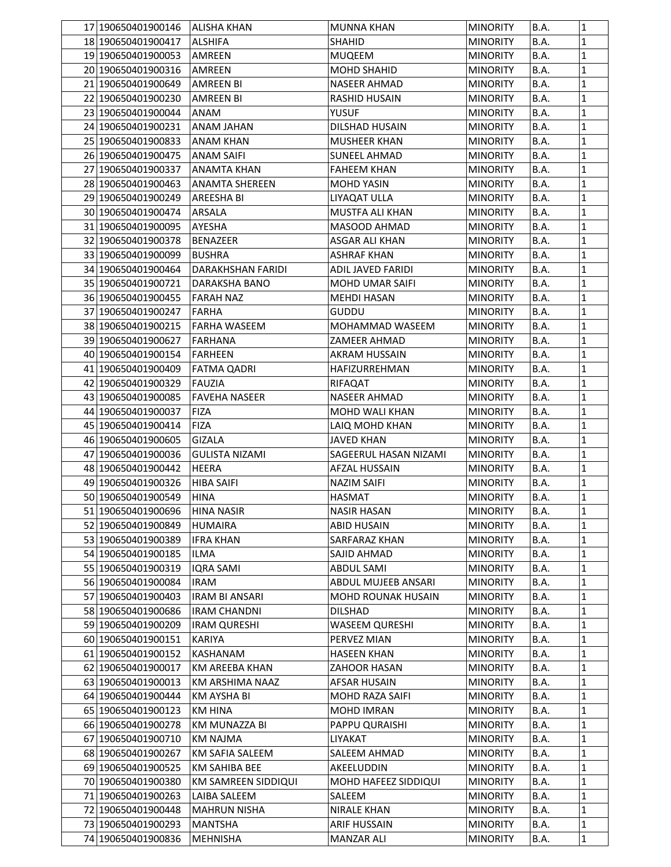| 17 190650401900146            | ALISHA KHAN            | <b>MUNNA KHAN</b>          | <b>MINORITY</b> | B.A. | 1           |
|-------------------------------|------------------------|----------------------------|-----------------|------|-------------|
| 18 190650401900417            | <b>ALSHIFA</b>         | <b>SHAHID</b>              | <b>MINORITY</b> | B.A. | 1           |
| 19 190650401900053            | <b>AMREEN</b>          | <b>MUQEEM</b>              | <b>MINORITY</b> | B.A. | 1           |
| 20 190650401900316            | <b>AMREEN</b>          | <b>MOHD SHAHID</b>         | <b>MINORITY</b> | B.A. | 1           |
| 21 190650401900649            | <b>AMREEN BI</b>       | <b>NASEER AHMAD</b>        | <b>MINORITY</b> | B.A. | 1           |
| 22 190650401900230            | <b>AMREEN BI</b>       | <b>RASHID HUSAIN</b>       | <b>MINORITY</b> | B.A. | 1           |
| 23 190650401900044            | ANAM                   | <b>YUSUF</b>               | <b>MINORITY</b> | B.A. | 1           |
| 24 190650401900231            | <b>ANAM JAHAN</b>      | DILSHAD HUSAIN             | <b>MINORITY</b> | B.A. | 1           |
| 25 190650401900833            | <b>ANAM KHAN</b>       | <b>MUSHEER KHAN</b>        | <b>MINORITY</b> | B.A. | 1           |
| 26 190650401900475            | <b>ANAM SAIFI</b>      | <b>SUNEEL AHMAD</b>        | <b>MINORITY</b> | B.A. | 1           |
| 27 190650401900337            | <b>ANAMTA KHAN</b>     | <b>FAHEEM KHAN</b>         | <b>MINORITY</b> | B.A. | 1           |
| 28 190650401900463            | <b>ANAMTA SHEREEN</b>  | <b>MOHD YASIN</b>          | <b>MINORITY</b> | B.A. | 1           |
| 29 190650401900249            | AREESHA BI             | LIYAQAT ULLA               | <b>MINORITY</b> | B.A. | 1           |
| 30 190650401900474            | ARSALA                 | MUSTFA ALI KHAN            | <b>MINORITY</b> | B.A. | 1           |
|                               |                        |                            |                 |      |             |
| 31 190650401900095            | <b>AYESHA</b>          | MASOOD AHMAD               | <b>MINORITY</b> | B.A. | 1           |
| 32 190650401900378            | <b>BENAZEER</b>        | ASGAR ALI KHAN             | <b>MINORITY</b> | B.A. | 1           |
| 33 190650401900099            | <b>BUSHRA</b>          | <b>ASHRAF KHAN</b>         | <b>MINORITY</b> | B.A. | 1           |
| 34 190650401900464            | DARAKHSHAN FARIDI      | <b>ADIL JAVED FARIDI</b>   | <b>MINORITY</b> | B.A. | 1           |
| 35 190650401900721            | DARAKSHA BANO          | <b>MOHD UMAR SAIFI</b>     | <b>MINORITY</b> | B.A. | 1           |
| 36 190650401900455            | <b>FARAH NAZ</b>       | <b>MEHDI HASAN</b>         | <b>MINORITY</b> | B.A. | 1           |
| 37 190650401900247            | <b>FARHA</b>           | GUDDU                      | <b>MINORITY</b> | B.A. | 1           |
| 38 190650401900215            | <b>FARHA WASEEM</b>    | MOHAMMAD WASEEM            | <b>MINORITY</b> | B.A. | 1           |
| 39 190650401900627            | <b>FARHANA</b>         | <b>ZAMEER AHMAD</b>        | <b>MINORITY</b> | B.A. | 1           |
| 40 190650401900154            | <b>FARHEEN</b>         | AKRAM HUSSAIN              | <b>MINORITY</b> | B.A. | 1           |
| 41 190650401900409            | <b>FATMA QADRI</b>     | HAFIZURREHMAN              | <b>MINORITY</b> | B.A. | 1           |
| 42 190650401900329            | <b>FAUZIA</b>          | RIFAQAT                    | <b>MINORITY</b> | B.A. | 1           |
| 43 190650401900085            | <b>FAVEHA NASEER</b>   | <b>NASEER AHMAD</b>        | <b>MINORITY</b> | B.A. | 1           |
| 44 190650401900037            | <b>FIZA</b>            | <b>MOHD WALI KHAN</b>      | <b>MINORITY</b> | B.A. | 1           |
| 45 190650401900414            | <b>FIZA</b>            | LAIQ MOHD KHAN             | <b>MINORITY</b> | B.A. | 1           |
| 46 190650401900605            | <b>GIZALA</b>          | <b>JAVED KHAN</b>          | <b>MINORITY</b> | B.A. | 1           |
| 47 190650401900036            | <b>GULISTA NIZAMI</b>  | SAGEERUL HASAN NIZAMI      | <b>MINORITY</b> | B.A. | 1           |
| 48 190650401900442            | <b>HEERA</b>           | <b>AFZAL HUSSAIN</b>       | <b>MINORITY</b> | B.A. | 1           |
| 49 190650401900326            | <b>HIBA SAIFI</b>      | <b>NAZIM SAIFI</b>         | <b>MINORITY</b> | B.A. | 1           |
| 50 190650401900549            | <b>HINA</b>            | <b>HASMAT</b>              | <b>MINORITY</b> | B.A. | 1           |
| 51 190650401900696 HINA NASIR |                        | NASIR HASAN                | <b>MINORITY</b> | B.A. | $\mathbf 1$ |
| 52 190650401900849            | HUMAIRA                | ABID HUSAIN                | <b>MINORITY</b> | B.A. | 1           |
|                               |                        |                            |                 |      |             |
| 53 190650401900389            | <b>IFRA KHAN</b>       | SARFARAZ KHAN              | <b>MINORITY</b> | B.A. | 1           |
| 54 190650401900185            | <b>ILMA</b>            | SAJID AHMAD                | <b>MINORITY</b> | B.A. | 1           |
| 55 190650401900319            | <b>IQRA SAMI</b>       | <b>ABDUL SAMI</b>          | <b>MINORITY</b> | B.A. | 1           |
| 56 190650401900084            | <b>IRAM</b>            | <b>ABDUL MUJEEB ANSARI</b> | <b>MINORITY</b> | B.A. | 1           |
| 57 190650401900403            | <b>IRAM BI ANSARI</b>  | <b>MOHD ROUNAK HUSAIN</b>  | <b>MINORITY</b> | B.A. | 1           |
| 58 190650401900686            | IRAM CHANDNI           | <b>DILSHAD</b>             | <b>MINORITY</b> | B.A. | 1           |
| 59 190650401900209            | <b>IRAM QURESHI</b>    | <b>WASEEM QURESHI</b>      | <b>MINORITY</b> | B.A. | 1           |
| 60 190650401900151            | <b>KARIYA</b>          | PERVEZ MIAN                | <b>MINORITY</b> | B.A. | 1           |
| 61 190650401900152            | <b>KASHANAM</b>        | <b>HASEEN KHAN</b>         | <b>MINORITY</b> | B.A. | 1           |
| 62 190650401900017            | <b>KM AREEBA KHAN</b>  | <b>ZAHOOR HASAN</b>        | <b>MINORITY</b> | B.A. | 1           |
| 63 190650401900013            | KM ARSHIMA NAAZ        | AFSAR HUSAIN               | <b>MINORITY</b> | B.A. | 1           |
| 64 190650401900444            | KM AYSHA BI            | MOHD RAZA SAIFI            | <b>MINORITY</b> | B.A. | 1           |
| 65 190650401900123            | <b>KM HINA</b>         | <b>MOHD IMRAN</b>          | <b>MINORITY</b> | B.A. | 1           |
| 66 190650401900278            | KM MUNAZZA BI          | PAPPU QURAISHI             | <b>MINORITY</b> | B.A. | 1           |
| 67 190650401900710            | <b>KM NAJMA</b>        | LIYAKAT                    | <b>MINORITY</b> | B.A. | 1           |
| 68 190650401900267            | <b>KM SAFIA SALEEM</b> | <b>SALEEM AHMAD</b>        | <b>MINORITY</b> | B.A. | 1           |
| 69 190650401900525            | KM SAHIBA BEE          | AKEELUDDIN                 | <b>MINORITY</b> | B.A. | 1           |
| 70 190650401900380            | KM SAMREEN SIDDIQUI    | MOHD HAFEEZ SIDDIQUI       | <b>MINORITY</b> | B.A. | 1           |
| 71 190650401900263            | LAIBA SALEEM           | SALEEM                     | <b>MINORITY</b> | B.A. | 1           |
| 72 190650401900448            | <b>MAHRUN NISHA</b>    | <b>NIRALE KHAN</b>         | <b>MINORITY</b> | B.A. | 1           |
| 73 190650401900293            | MANTSHA                | <b>ARIF HUSSAIN</b>        | <b>MINORITY</b> | B.A. | 1           |
|                               |                        |                            |                 |      |             |
| 74 190650401900836            | MEHNISHA               | <b>MANZAR ALI</b>          | <b>MINORITY</b> | B.A. | 1           |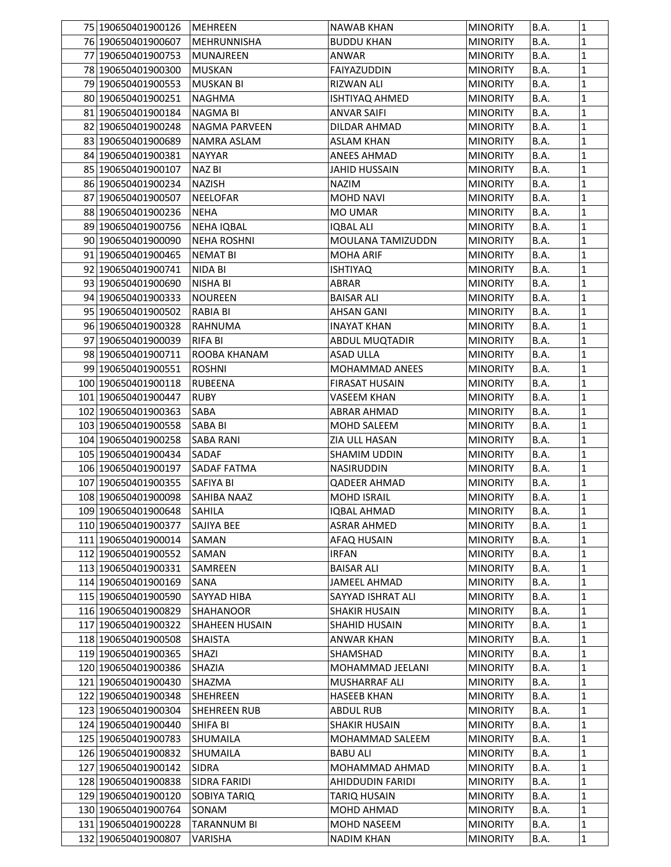| 75 190650401900126                         | MEHREEN               | <b>NAWAB KHAN</b>     | <b>MINORITY</b> | B.A.        | $\mathbf{1}$   |
|--------------------------------------------|-----------------------|-----------------------|-----------------|-------------|----------------|
| 76 190650401900607                         | MEHRUNNISHA           | <b>BUDDU KHAN</b>     | <b>MINORITY</b> | B.A.        | 1              |
| 77 190650401900753                         | <b>MUNAJREEN</b>      | ANWAR                 | <b>MINORITY</b> | B.A.        | $\mathbf{1}$   |
| 78 190650401900300                         | <b>MUSKAN</b>         | <b>FAIYAZUDDIN</b>    | <b>MINORITY</b> | B.A.        | $\mathbf{1}$   |
| 79 190650401900553                         | <b>MUSKAN BI</b>      | <b>RIZWAN ALI</b>     | <b>MINORITY</b> | B.A.        | $\mathbf{1}$   |
| 80 190650401900251                         | <b>NAGHMA</b>         | ISHTIYAQ AHMED        | <b>MINORITY</b> | B.A.        | $\mathbf{1}$   |
| 81 190650401900184                         | NAGMA BI              | <b>ANVAR SAIFI</b>    | <b>MINORITY</b> | B.A.        | 1              |
| 82 190650401900248                         | NAGMA PARVEEN         | DILDAR AHMAD          | <b>MINORITY</b> | B.A.        | 1              |
| 83 190650401900689                         | NAMRA ASLAM           | <b>ASLAM KHAN</b>     | <b>MINORITY</b> | B.A.        | $\mathbf{1}$   |
| 84 190650401900381                         | <b>NAYYAR</b>         | <b>ANEES AHMAD</b>    | <b>MINORITY</b> | B.A.        | $\mathbf{1}$   |
| 85 190650401900107                         | NAZ BI                | <b>JAHID HUSSAIN</b>  | <b>MINORITY</b> | B.A.        | 1              |
| 86 190650401900234                         | <b>NAZISH</b>         | <b>NAZIM</b>          | <b>MINORITY</b> | B.A.        | $\mathbf{1}$   |
| 87 190650401900507                         | <b>NEELOFAR</b>       | <b>MOHD NAVI</b>      | <b>MINORITY</b> | B.A.        | 1              |
| 88 190650401900236                         | <b>NEHA</b>           | <b>MO UMAR</b>        | <b>MINORITY</b> | B.A.        | 1              |
| 89 190650401900756                         | <b>NEHA IQBAL</b>     | <b>IQBAL ALI</b>      | <b>MINORITY</b> | B.A.        | $\mathbf{1}$   |
| 90 190650401900090                         | <b>NEHA ROSHNI</b>    | MOULANA TAMIZUDDN     | <b>MINORITY</b> | B.A.        | $\mathbf{1}$   |
| 91 190650401900465                         | NEMAT BI              | <b>MOHA ARIF</b>      | <b>MINORITY</b> | B.A.        | $\mathbf{1}$   |
| 92 190650401900741                         | <b>NIDA BI</b>        | <b>ISHTIYAQ</b>       | <b>MINORITY</b> | B.A.        | $\mathbf{1}$   |
| 93 190650401900690                         | NISHA BI              | ABRAR                 | <b>MINORITY</b> | B.A.        | 1              |
| 94 190650401900333                         | <b>NOUREEN</b>        | <b>BAISAR ALI</b>     | <b>MINORITY</b> | B.A.        | 1              |
| 95 190650401900502                         | <b>RABIA BI</b>       | <b>AHSAN GANI</b>     | <b>MINORITY</b> | B.A.        | $\mathbf{1}$   |
| 96 190650401900328                         | RAHNUMA               | <b>INAYAT KHAN</b>    | <b>MINORITY</b> | B.A.        | $\mathbf{1}$   |
| 97 190650401900039                         | <b>RIFA BI</b>        | <b>ABDUL MUQTADIR</b> | <b>MINORITY</b> | B.A.        | $\mathbf{1}$   |
| 98 190650401900711                         | ROOBA KHANAM          | <b>ASAD ULLA</b>      | <b>MINORITY</b> | B.A.        | $\mathbf{1}$   |
| 99 190650401900551                         | <b>ROSHNI</b>         | <b>MOHAMMAD ANEES</b> | <b>MINORITY</b> | B.A.        | 1              |
| 100 190650401900118                        | <b>RUBEENA</b>        | <b>FIRASAT HUSAIN</b> | <b>MINORITY</b> | B.A.        | 1              |
| 101 190650401900447                        | <b>RUBY</b>           | <b>VASEEM KHAN</b>    | <b>MINORITY</b> | B.A.        | $\mathbf{1}$   |
|                                            | SABA                  |                       |                 | B.A.        | $\mathbf{1}$   |
| 102 190650401900363<br>103 190650401900558 | SABA BI               | <b>ABRAR AHMAD</b>    | <b>MINORITY</b> | B.A.        | 1              |
|                                            |                       | MOHD SALEEM           | <b>MINORITY</b> |             |                |
| 104 190650401900258                        | <b>SABA RANI</b>      | ZIA ULL HASAN         | <b>MINORITY</b> | B.A.        | $\mathbf{1}$   |
| 105 190650401900434                        | SADAF                 | <b>SHAMIM UDDIN</b>   | <b>MINORITY</b> | B.A.        | 1              |
| 106 190650401900197                        | SADAF FATMA           | NASIRUDDIN            | <b>MINORITY</b> | B.A.        | 1              |
| 107 190650401900355                        | SAFIYA BI             | <b>QADEER AHMAD</b>   | <b>MINORITY</b> | B.A.        | $\mathbf 1$    |
| 108 190650401900098                        | SAHIBA NAAZ           | <b>MOHD ISRAIL</b>    | <b>MINORITY</b> | B.A.        | $\mathbf{1}$   |
| 109 190650401900648                        | <b>SAHILA</b>         | <b>IQBAL AHMAD</b>    | <b>MINORITY</b> | <b>B.A.</b> | $\overline{1}$ |
| 110 190650401900377                        | SAJIYA BEE            | ASRAR AHMED           | <b>MINORITY</b> | B.A.        | 1              |
| 111 190650401900014                        | SAMAN                 | AFAQ HUSAIN           | <b>MINORITY</b> | B.A.        | 1              |
| 112 190650401900552                        | SAMAN                 | <b>IRFAN</b>          | <b>MINORITY</b> | B.A.        | 1              |
| 113 190650401900331                        | SAMREEN               | <b>BAISAR ALI</b>     | <b>MINORITY</b> | B.A.        | 1              |
| 114 190650401900169                        | SANA                  | <b>JAMEEL AHMAD</b>   | <b>MINORITY</b> | B.A.        | 1              |
| 115 190650401900590                        | SAYYAD HIBA           | SAYYAD ISHRAT ALI     | <b>MINORITY</b> | B.A.        | 1              |
| 116 190650401900829                        | <b>SHAHANOOR</b>      | <b>SHAKIR HUSAIN</b>  | <b>MINORITY</b> | B.A.        | 1              |
| 117 190650401900322                        | <b>SHAHEEN HUSAIN</b> | <b>SHAHID HUSAIN</b>  | <b>MINORITY</b> | B.A.        | 1              |
| 118 190650401900508                        | <b>SHAISTA</b>        | <b>ANWAR KHAN</b>     | <b>MINORITY</b> | B.A.        | 1              |
| 119 190650401900365                        | SHAZI                 | SHAMSHAD              | <b>MINORITY</b> | B.A.        | 1              |
| 120 190650401900386                        | SHAZIA                | MOHAMMAD JEELANI      | <b>MINORITY</b> | B.A.        | 1              |
| 121 190650401900430                        | SHAZMA                | MUSHARRAF ALI         | <b>MINORITY</b> | B.A.        | 1              |
| 122 190650401900348                        | SHEHREEN              | <b>HASEEB KHAN</b>    | <b>MINORITY</b> | B.A.        | 1              |
| 123 190650401900304                        | SHEHREEN RUB          | <b>ABDUL RUB</b>      | <b>MINORITY</b> | B.A.        | 1              |
| 124 190650401900440                        | SHIFA BI              | <b>SHAKIR HUSAIN</b>  | <b>MINORITY</b> | B.A.        | 1              |
| 125 190650401900783                        | SHUMAILA              | MOHAMMAD SALEEM       | <b>MINORITY</b> | B.A.        | 1              |
| 126 190650401900832                        | SHUMAILA              | <b>BABU ALI</b>       | <b>MINORITY</b> | B.A.        | 1              |
| 127 190650401900142                        | <b>SIDRA</b>          | MOHAMMAD AHMAD        | <b>MINORITY</b> | B.A.        | 1              |
| 128 190650401900838                        | SIDRA FARIDI          | AHIDDUDIN FARIDI      | <b>MINORITY</b> | B.A.        | 1              |
| 129 190650401900120                        | SOBIYA TARIQ          | <b>TARIQ HUSAIN</b>   | <b>MINORITY</b> | B.A.        | 1              |
| 130 190650401900764                        | SONAM                 | MOHD AHMAD            | <b>MINORITY</b> | B.A.        | 1              |
| 131 190650401900228                        | <b>TARANNUM BI</b>    | MOHD NASEEM           | <b>MINORITY</b> | B.A.        | 1              |
| 132 190650401900807                        | VARISHA               | <b>NADIM KHAN</b>     | <b>MINORITY</b> | B.A.        | 1              |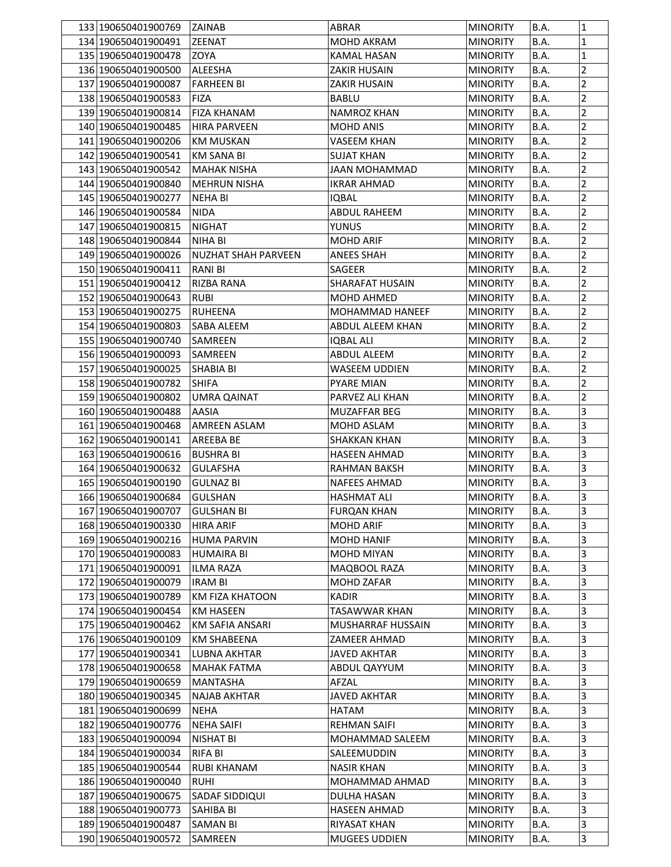| 133 190650401900769 | <b>ZAINAB</b>              | <b>ABRAR</b>           | <b>MINORITY</b> | B.A. | 1                       |
|---------------------|----------------------------|------------------------|-----------------|------|-------------------------|
| 134 190650401900491 | <b>ZEENAT</b>              | MOHD AKRAM             | <b>MINORITY</b> | B.A. | 1                       |
| 135 190650401900478 | ZOYA                       | <b>KAMAL HASAN</b>     | <b>MINORITY</b> | B.A. | 1                       |
| 136 190650401900500 | <b>ALEESHA</b>             | <b>ZAKIR HUSAIN</b>    | <b>MINORITY</b> | B.A. | $\overline{\mathbf{c}}$ |
| 137 190650401900087 | <b>FARHEEN BI</b>          | <b>ZAKIR HUSAIN</b>    | <b>MINORITY</b> | B.A. | $\overline{2}$          |
| 138 190650401900583 | <b>FIZA</b>                | <b>BABLU</b>           | <b>MINORITY</b> | B.A. | $\overline{\mathbf{c}}$ |
| 139 190650401900814 | <b>FIZA KHANAM</b>         | <b>NAMROZ KHAN</b>     | <b>MINORITY</b> | B.A. | 2                       |
| 140 190650401900485 | <b>HIRA PARVEEN</b>        | <b>MOHD ANIS</b>       | <b>MINORITY</b> | B.A. | $\overline{\mathbf{c}}$ |
| 141 190650401900206 | <b>KM MUSKAN</b>           | <b>VASEEM KHAN</b>     | <b>MINORITY</b> | B.A. | $\overline{\mathbf{c}}$ |
| 142 190650401900541 | <b>KM SANA BI</b>          | <b>SUJAT KHAN</b>      | <b>MINORITY</b> | B.A. | 2                       |
| 143 190650401900542 | <b>MAHAK NISHA</b>         | <b>JAAN MOHAMMAD</b>   | <b>MINORITY</b> | B.A. | $\overline{2}$          |
| 144 190650401900840 | <b>MEHRUN NISHA</b>        | <b>IKRAR AHMAD</b>     | <b>MINORITY</b> | B.A. | $\overline{\mathbf{c}}$ |
| 145 190650401900277 | <b>NEHA BI</b>             |                        |                 | B.A. | 2                       |
|                     |                            | <b>IQBAL</b>           | <b>MINORITY</b> |      | $\overline{\mathbf{c}}$ |
| 146 190650401900584 | <b>NIDA</b>                | <b>ABDUL RAHEEM</b>    | <b>MINORITY</b> | B.A. |                         |
| 147 190650401900815 | <b>NIGHAT</b>              | <b>YUNUS</b>           | <b>MINORITY</b> | B.A. | $\overline{\mathbf{c}}$ |
| 148 190650401900844 | NIHA BI                    | <b>MOHD ARIF</b>       | <b>MINORITY</b> | B.A. | 2                       |
| 149 190650401900026 | <b>NUZHAT SHAH PARVEEN</b> | <b>ANEES SHAH</b>      | <b>MINORITY</b> | B.A. | $\overline{\mathbf{c}}$ |
| 150 190650401900411 | <b>RANI BI</b>             | SAGEER                 | <b>MINORITY</b> | B.A. | $\overline{\mathbf{c}}$ |
| 151 190650401900412 | <b>RIZBA RANA</b>          | <b>SHARAFAT HUSAIN</b> | <b>MINORITY</b> | B.A. | 2                       |
| 152 190650401900643 | <b>RUBI</b>                | <b>MOHD AHMED</b>      | <b>MINORITY</b> | B.A. | 2                       |
| 153 190650401900275 | <b>RUHEENA</b>             | MOHAMMAD HANEEF        | <b>MINORITY</b> | B.A. | $\overline{c}$          |
| 154 190650401900803 | SABA ALEEM                 | ABDUL ALEEM KHAN       | <b>MINORITY</b> | B.A. | $\overline{2}$          |
| 155 190650401900740 | SAMREEN                    | <b>IQBAL ALI</b>       | <b>MINORITY</b> | B.A. | $\overline{\mathbf{c}}$ |
| 156 190650401900093 | SAMREEN                    | <b>ABDUL ALEEM</b>     | <b>MINORITY</b> | B.A. | $\overline{\mathbf{c}}$ |
| 157 190650401900025 | <b>SHABIA BI</b>           | <b>WASEEM UDDIEN</b>   | <b>MINORITY</b> | B.A. | $\overline{\mathbf{c}}$ |
| 158 190650401900782 | <b>SHIFA</b>               | <b>PYARE MIAN</b>      | <b>MINORITY</b> | B.A. | 2                       |
| 159 190650401900802 | <b>UMRA QAINAT</b>         | PARVEZ ALI KHAN        | <b>MINORITY</b> | B.A. | $\overline{2}$          |
| 160 190650401900488 | AASIA                      | <b>MUZAFFAR BEG</b>    | <b>MINORITY</b> | B.A. | 3                       |
| 161 190650401900468 | <b>AMREEN ASLAM</b>        | MOHD ASLAM             | <b>MINORITY</b> | B.A. | 3                       |
| 162 190650401900141 | AREEBA BE                  | <b>SHAKKAN KHAN</b>    | <b>MINORITY</b> | B.A. | 3                       |
| 163 190650401900616 | <b>BUSHRA BI</b>           | <b>HASEEN AHMAD</b>    | <b>MINORITY</b> | B.A. | 3                       |
| 164 190650401900632 | <b>GULAFSHA</b>            | <b>RAHMAN BAKSH</b>    | <b>MINORITY</b> | B.A. | 3                       |
| 165 190650401900190 | <b>GULNAZ BI</b>           | <b>NAFEES AHMAD</b>    | <b>MINORITY</b> | B.A. | 3                       |
|                     |                            | <b>HASHMAT ALI</b>     |                 |      |                         |
| 166 190650401900684 | <b>GULSHAN</b>             |                        | <b>MINORITY</b> | B.A. | 3                       |
| 167 190650401900707 | <b>GULSHAN BI</b>          | <b>FURQAN KHAN</b>     | <b>MINORITY</b> | B.A. | 3                       |
| 168 190650401900330 | HIRA ARIF                  | <b>MOHD ARIF</b>       | <b>MINORITY</b> | B.A. | 3                       |
| 169 190650401900216 | <b>HUMA PARVIN</b>         | <b>MOHD HANIF</b>      | <b>MINORITY</b> | B.A. | 3                       |
| 170 190650401900083 | <b>HUMAIRA BI</b>          | <b>MOHD MIYAN</b>      | <b>MINORITY</b> | B.A. | 3                       |
| 171 190650401900091 | <b>ILMA RAZA</b>           | MAQBOOL RAZA           | <b>MINORITY</b> | B.A. | 3                       |
| 172 190650401900079 | <b>IRAM BI</b>             | <b>MOHD ZAFAR</b>      | <b>MINORITY</b> | B.A. | 3                       |
| 173 190650401900789 | <b>KM FIZA KHATOON</b>     | <b>KADIR</b>           | <b>MINORITY</b> | B.A. | 3                       |
| 174 190650401900454 | <b>KM HASEEN</b>           | TASAWWAR KHAN          | <b>MINORITY</b> | B.A. | 3                       |
| 175 190650401900462 | <b>KM SAFIA ANSARI</b>     | MUSHARRAF HUSSAIN      | <b>MINORITY</b> | B.A. | 3                       |
| 176 190650401900109 | <b>KM SHABEENA</b>         | <b>ZAMEER AHMAD</b>    | <b>MINORITY</b> | B.A. | 3                       |
| 177 190650401900341 | <b>LUBNA AKHTAR</b>        | <b>JAVED AKHTAR</b>    | <b>MINORITY</b> | B.A. | 3                       |
| 178 190650401900658 | MAHAK FATMA                | ABDUL QAYYUM           | <b>MINORITY</b> | B.A. | 3                       |
| 179 190650401900659 | MANTASHA                   | AFZAL                  | <b>MINORITY</b> | B.A. | 3                       |
| 180 190650401900345 | NAJAB AKHTAR               | <b>JAVED AKHTAR</b>    | <b>MINORITY</b> | B.A. | 3                       |
| 181 190650401900699 | <b>NEHA</b>                | <b>HATAM</b>           | <b>MINORITY</b> | B.A. | 3                       |
| 182 190650401900776 | <b>NEHA SAIFI</b>          | <b>REHMAN SAIFI</b>    | <b>MINORITY</b> | B.A. | 3                       |
| 183 190650401900094 | <b>NISHAT BI</b>           | MOHAMMAD SALEEM        | <b>MINORITY</b> | B.A. | 3                       |
| 184 190650401900034 | <b>RIFA BI</b>             | SALEEMUDDIN            | <b>MINORITY</b> | B.A. | 3                       |
| 185 190650401900544 | <b>RUBI KHANAM</b>         | <b>NASIR KHAN</b>      | <b>MINORITY</b> | B.A. | 3                       |
| 186 190650401900040 | <b>RUHI</b>                | MOHAMMAD AHMAD         | <b>MINORITY</b> | B.A. | 3                       |
| 187 190650401900675 | SADAF SIDDIQUI             | <b>DULHA HASAN</b>     | <b>MINORITY</b> | B.A. | 3                       |
| 188 190650401900773 | SAHIBA BI                  | <b>HASEEN AHMAD</b>    | <b>MINORITY</b> | B.A. | 3                       |
| 189 190650401900487 |                            |                        |                 |      | 3                       |
|                     | SAMAN BI                   | RIYASAT KHAN           | <b>MINORITY</b> | B.A. |                         |
| 190 190650401900572 | SAMREEN                    | <b>MUGEES UDDIEN</b>   | <b>MINORITY</b> | B.A. | 3                       |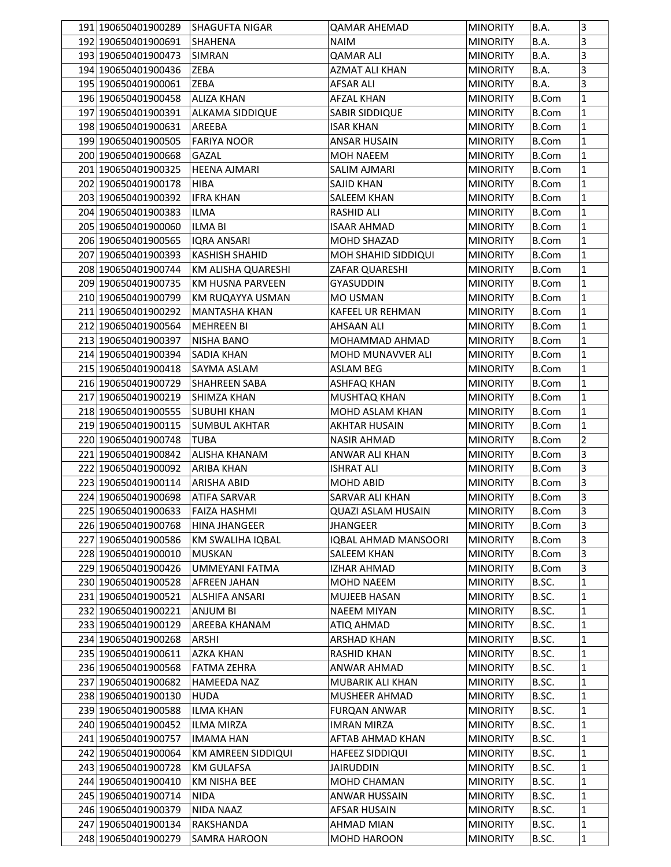| 191 190650401900289 | SHAGUFTA NIGAR        | <b>QAMAR AHEMAD</b>      | <b>MINORITY</b> | B.A.         | 3           |
|---------------------|-----------------------|--------------------------|-----------------|--------------|-------------|
| 192 190650401900691 | <b>SHAHENA</b>        | <b>NAIM</b>              | <b>MINORITY</b> | B.A.         | 3           |
| 193 190650401900473 | <b>SIMRAN</b>         | <b>QAMAR ALI</b>         | <b>MINORITY</b> | B.A.         | 3           |
| 194 190650401900436 | ZEBA                  | AZMAT ALI KHAN           | <b>MINORITY</b> | B.A.         | 3           |
| 195 190650401900061 | <b>ZEBA</b>           | AFSAR ALI                | <b>MINORITY</b> | B.A.         | 3           |
| 196 190650401900458 | <b>ALIZA KHAN</b>     | <b>AFZAL KHAN</b>        | <b>MINORITY</b> | <b>B.Com</b> | 1           |
| 197 190650401900391 | ALKAMA SIDDIQUE       | SABIR SIDDIQUE           | <b>MINORITY</b> | <b>B.Com</b> | 1           |
| 198 190650401900631 | AREEBA                | <b>ISAR KHAN</b>         | <b>MINORITY</b> | <b>B.Com</b> | 1           |
| 199 190650401900505 | <b>FARIYA NOOR</b>    | <b>ANSAR HUSAIN</b>      | <b>MINORITY</b> | <b>B.Com</b> | 1           |
| 200 190650401900668 | <b>GAZAL</b>          |                          |                 |              | 1           |
|                     | <b>HEENA AJMARI</b>   | MOH NAEEM                | <b>MINORITY</b> | B.Com        | $\mathbf 1$ |
| 201 190650401900325 |                       | SALIM AJMARI             | <b>MINORITY</b> | <b>B.Com</b> |             |
| 202 190650401900178 | <b>HIBA</b>           | <b>SAJID KHAN</b>        | <b>MINORITY</b> | <b>B.Com</b> | 1           |
| 203 190650401900392 | <b>IFRA KHAN</b>      | <b>SALEEM KHAN</b>       | <b>MINORITY</b> | <b>B.Com</b> | 1           |
| 204 190650401900383 | <b>ILMA</b>           | <b>RASHID ALI</b>        | <b>MINORITY</b> | <b>B.Com</b> | 1           |
| 205 190650401900060 | <b>ILMA BI</b>        | <b>ISAAR AHMAD</b>       | <b>MINORITY</b> | <b>B.Com</b> | 1           |
| 206 190650401900565 | <b>IQRA ANSARI</b>    | MOHD SHAZAD              | <b>MINORITY</b> | <b>B.Com</b> | 1           |
| 207 190650401900393 | <b>KASHISH SHAHID</b> | MOH SHAHID SIDDIQUI      | <b>MINORITY</b> | B.Com        | 1           |
| 208 190650401900744 | KM ALISHA QUARESHI    | ZAFAR QUARESHI           | <b>MINORITY</b> | <b>B.Com</b> | 1           |
| 209 190650401900735 | KM HUSNA PARVEEN      | GYASUDDIN                | <b>MINORITY</b> | <b>B.Com</b> | 1           |
| 210 190650401900799 | KM RUQAYYA USMAN      | <b>MO USMAN</b>          | <b>MINORITY</b> | <b>B.Com</b> | 1           |
| 211 190650401900292 | <b>MANTASHA KHAN</b>  | <b>KAFEEL UR REHMAN</b>  | <b>MINORITY</b> | <b>B.Com</b> | 1           |
| 212 190650401900564 | <b>MEHREEN BI</b>     | <b>AHSAAN ALI</b>        | <b>MINORITY</b> | <b>B.Com</b> | 1           |
| 213 190650401900397 | <b>NISHA BANO</b>     | MOHAMMAD AHMAD           | <b>MINORITY</b> | <b>B.Com</b> | $\mathbf 1$ |
| 214 190650401900394 | <b>SADIA KHAN</b>     | <b>MOHD MUNAVVER ALI</b> | <b>MINORITY</b> | <b>B.Com</b> | 1           |
| 215 190650401900418 | SAYMA ASLAM           | ASLAM BEG                | <b>MINORITY</b> | <b>B.Com</b> | 1           |
| 216 190650401900729 | SHAHREEN SABA         | ASHFAQ KHAN              | <b>MINORITY</b> | <b>B.Com</b> | 1           |
| 217 190650401900219 | SHIMZA KHAN           | MUSHTAQ KHAN             | <b>MINORITY</b> | <b>B.Com</b> | 1           |
|                     |                       | MOHD ASLAM KHAN          |                 |              | 1           |
| 218 190650401900555 | <b>SUBUHI KHAN</b>    |                          | <b>MINORITY</b> | B.Com        |             |
| 219 190650401900115 | <b>SUMBUL AKHTAR</b>  | AKHTAR HUSAIN            | <b>MINORITY</b> | B.Com        | 1           |
| 220 190650401900748 | <b>TUBA</b>           | <b>NASIR AHMAD</b>       | <b>MINORITY</b> | <b>B.Com</b> | 2           |
| 221 190650401900842 | ALISHA KHANAM         | ANWAR ALI KHAN           | <b>MINORITY</b> | <b>B.Com</b> | 3           |
| 222 190650401900092 | <b>ARIBA KHAN</b>     | <b>ISHRAT ALI</b>        | <b>MINORITY</b> | <b>B.Com</b> | 3           |
| 223 190650401900114 | <b>ARISHA ABID</b>    | MOHD ABID                | <b>MINORITY</b> | <b>B.Com</b> | 3           |
| 224 190650401900698 | <b>ATIFA SARVAR</b>   | SARVAR ALI KHAN          | <b>MINORITY</b> | B.Com        | 3           |
| 225 190650401900633 | <b>FAIZA HASHMI</b>   | QUAZI ASLAM HUSAIN       | <b>MINORITY</b> | B.Com        | 3           |
| 226 190650401900768 | <b>HINA JHANGEER</b>  | JHANGEER                 | <b>MINORITY</b> | <b>B.Com</b> | 3           |
| 227 190650401900586 | KM SWALIHA IQBAL      | IQBAL AHMAD MANSOORI     | <b>MINORITY</b> | <b>B.Com</b> | 3           |
| 228 190650401900010 | <b>MUSKAN</b>         | SALEEM KHAN              | <b>MINORITY</b> | <b>B.Com</b> | 3           |
| 229 190650401900426 | <b>UMMEYANI FATMA</b> | <b>IZHAR AHMAD</b>       | <b>MINORITY</b> | <b>B.Com</b> | 3           |
| 230 190650401900528 | <b>AFREEN JAHAN</b>   | <b>MOHD NAEEM</b>        | <b>MINORITY</b> | B.SC.        | 1           |
| 231 190650401900521 | <b>ALSHIFA ANSARI</b> | MUJEEB HASAN             | <b>MINORITY</b> | B.SC.        | 1           |
| 232 190650401900221 | ANJUM BI              | NAEEM MIYAN              | <b>MINORITY</b> | B.SC.        | 1           |
| 233 190650401900129 | AREEBA KHANAM         | ATIQ AHMAD               | <b>MINORITY</b> | B.SC.        | 1           |
| 234 190650401900268 | ARSHI                 | ARSHAD KHAN              | <b>MINORITY</b> | B.SC.        | 1           |
| 235 190650401900611 | <b>AZKA KHAN</b>      | RASHID KHAN              | <b>MINORITY</b> | B.SC.        | 1           |
| 236 190650401900568 | FATMA ZEHRA           | ANWAR AHMAD              | <b>MINORITY</b> | B.SC.        | 1           |
| 237 190650401900682 | HAMEEDA NAZ           | MUBARIK ALI KHAN         | <b>MINORITY</b> | B.SC.        | 1           |
| 238 190650401900130 | <b>HUDA</b>           | MUSHEER AHMAD            | <b>MINORITY</b> | B.SC.        | 1           |
| 239 190650401900588 | <b>ILMA KHAN</b>      | <b>FURQAN ANWAR</b>      | <b>MINORITY</b> | B.SC.        | 1           |
|                     | <b>ILMA MIRZA</b>     |                          |                 |              | 1           |
| 240 190650401900452 |                       | <b>IMRAN MIRZA</b>       | <b>MINORITY</b> | B.SC.        |             |
| 241 190650401900757 | <b>IMAMA HAN</b>      | AFTAB AHMAD KHAN         | <b>MINORITY</b> | B.SC.        | 1           |
| 242 190650401900064 | KM AMREEN SIDDIQUI    | HAFEEZ SIDDIQUI          | <b>MINORITY</b> | B.SC.        | 1           |
| 243 190650401900728 | <b>KM GULAFSA</b>     | <b>JAIRUDDIN</b>         | <b>MINORITY</b> | B.SC.        | 1           |
| 244 190650401900410 | KM NISHA BEE          | MOHD CHAMAN              | <b>MINORITY</b> | B.SC.        | 1           |
| 245 190650401900714 | <b>NIDA</b>           | ANWAR HUSSAIN            | <b>MINORITY</b> | B.SC.        | 1           |
| 246 190650401900379 | NIDA NAAZ             | AFSAR HUSAIN             | <b>MINORITY</b> | B.SC.        | 1           |
| 247 190650401900134 | RAKSHANDA             | AHMAD MIAN               | <b>MINORITY</b> | B.SC.        | 1           |
| 248 190650401900279 | SAMRA HAROON          | MOHD HAROON              | <b>MINORITY</b> | B.SC.        | 1           |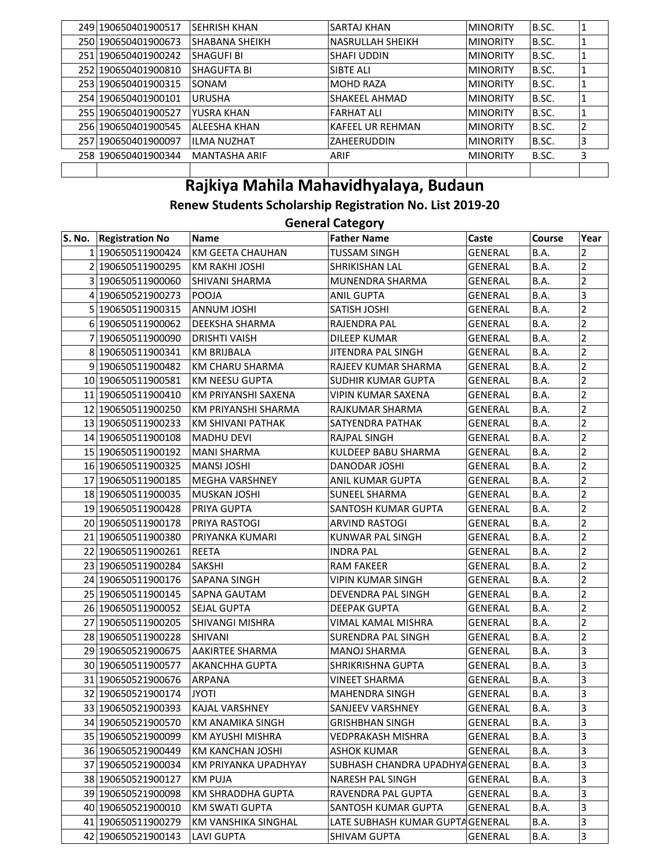| 249 190650401900517 | ISEHRISH KHAN         | <b>SARTAJ KHAN</b>      | <b>MINORITY</b> | B.SC. | T |
|---------------------|-----------------------|-------------------------|-----------------|-------|---|
| 250 190650401900673 | <b>SHABANA SHEIKH</b> | <b>NASRULLAH SHEIKH</b> | <b>MINORITY</b> | B.SC. |   |
| 251 190650401900242 | SHAGUFI BI            | <b>SHAFI UDDIN</b>      | <b>MINORITY</b> | B.SC. |   |
| 252 190650401900810 | <b>SHAGUFTA BI</b>    | SIBTE ALI               | <b>MINORITY</b> | B.SC. |   |
| 253 190650401900315 | SONAM                 | <b>MOHD RAZA</b>        | <b>MINORITY</b> | B.SC. |   |
| 254 190650401900101 | <b>URUSHA</b>         | <b>SHAKEEL AHMAD</b>    | <b>MINORITY</b> | B.SC. |   |
| 255 190650401900527 | YUSRA KHAN            | <b>FARHAT ALI</b>       | <b>MINORITY</b> | B.SC. |   |
| 256 190650401900545 | ALEESHA KHAN          | <b>KAFEEL UR REHMAN</b> | <b>MINORITY</b> | B.SC. | 2 |
| 257 190650401900097 | IILMA NUZHAT          | ZAHEERUDDIN             | <b>MINORITY</b> | B.SC. | 3 |
| 258 190650401900344 | <b>MANTASHA ARIF</b>  | ARIF                    | <b>MINORITY</b> | B.SC. | 3 |
|                     |                       |                         |                 |       |   |

# **Rajkiya Mahila Mahavidhyalaya, Budaun**

**Renew Students Scholarship Registration No. List 2019-20**

**General Category**

| S. No. Registration No | <b>Name</b>            | <b>Father Name</b>               | Caste          | <b>Course</b> | Year           |
|------------------------|------------------------|----------------------------------|----------------|---------------|----------------|
| 1 190650511900424      | KM GEETA CHAUHAN       | <b>TUSSAM SINGH</b>              | <b>GENERAL</b> | B.A.          | 2              |
| 2 190650511900295      | <b>KM RAKHI JOSHI</b>  | SHRIKISHAN LAL                   | <b>GENERAL</b> | B.A.          | $\overline{2}$ |
| 3 190650511900060      | SHIVANI SHARMA         | MUNENDRA SHARMA                  | <b>GENERAL</b> | B.A.          | $\overline{2}$ |
| 4 190650521900273      | <b>POOJA</b>           | <b>ANIL GUPTA</b>                | <b>GENERAL</b> | B.A.          | 3              |
| 5 190650511900315      | <b>ANNUM JOSHI</b>     | SATISH JOSHI                     | GENERAL        | B.A.          | $\overline{2}$ |
| 6 190650511900062      | DEEKSHA SHARMA         | RAJENDRA PAL                     | <b>GENERAL</b> | B.A.          | $\overline{2}$ |
| 7 190650511900090      | DRISHTI VAISH          | <b>DILEEP KUMAR</b>              | GENERAL        | B.A.          | $\overline{2}$ |
| 8 190650511900341      | <b>KM BRIJBALA</b>     | <b>JITENDRA PAL SINGH</b>        | <b>GENERAL</b> | B.A.          | $\overline{2}$ |
| 9 190650511900482      | KM CHARU SHARMA        | RAJEEV KUMAR SHARMA              | <b>GENERAL</b> | B.A.          | $\overline{2}$ |
| 10 190650511900581     | <b>KM NEESU GUPTA</b>  | <b>SUDHIR KUMAR GUPTA</b>        | GENERAL        | B.A.          | $\overline{2}$ |
| 11 190650511900410     | KM PRIYANSHI SAXENA    | <b>VIPIN KUMAR SAXENA</b>        | GENERAL        | B.A.          | $\overline{2}$ |
| 12 190650511900250     | KM PRIYANSHI SHARMA    | RAJKUMAR SHARMA                  | <b>GENERAL</b> | B.A.          | $\overline{2}$ |
| 13 190650511900233     | KM SHIVANI PATHAK      | SATYENDRA PATHAK                 | GENERAL        | B.A.          | $\overline{2}$ |
| 14 190650511900108     | <b>MADHU DEVI</b>      | <b>RAJPAL SINGH</b>              | <b>GENERAL</b> | B.A.          | $\overline{2}$ |
| 15 190650511900192     | <b>MANI SHARMA</b>     | KULDEEP BABU SHARMA              | <b>GENERAL</b> | B.A.          | $\overline{2}$ |
| 16 190650511900325     | <b>MANSI JOSHI</b>     | DANODAR JOSHI                    | GENERAL        | B.A.          | $\overline{2}$ |
| 17 190650511900185     | <b>MEGHA VARSHNEY</b>  | <b>ANIL KUMAR GUPTA</b>          | <b>GENERAL</b> | B.A.          | $\overline{2}$ |
| 18 190650511900035     | <b>MUSKAN JOSHI</b>    | <b>SUNEEL SHARMA</b>             | <b>GENERAL</b> | B.A.          | $\overline{2}$ |
| 19 190650511900428     | PRIYA GUPTA            | SANTOSH KUMAR GUPTA              | GENERAL        | B.A.          | $\overline{2}$ |
| 20 190650511900178     | PRIYA RASTOGI          | <b>ARVIND RASTOGI</b>            | <b>GENERAL</b> | B.A.          | $\overline{2}$ |
| 21 190650511900380     | PRIYANKA KUMARI        | KUNWAR PAL SINGH                 | <b>GENERAL</b> | B.A.          | $\overline{2}$ |
| 22 190650511900261     | <b>REETA</b>           | <b>INDRA PAL</b>                 | GENERAL        | B.A.          | $\overline{2}$ |
| 23 190650511900284     | <b>SAKSHI</b>          | <b>RAM FAKEER</b>                | GENERAL        | B.A.          | $\overline{2}$ |
| 24 190650511900176     | SAPANA SINGH           | <b>VIPIN KUMAR SINGH</b>         | <b>GENERAL</b> | B.A.          | $\overline{2}$ |
| 25 190650511900145     | SAPNA GAUTAM           | DEVENDRA PAL SINGH               | GENERAL        | B.A.          | $\overline{2}$ |
| 26 190650511900052     | <b>SEJAL GUPTA</b>     | <b>DEEPAK GUPTA</b>              | GENERAL        | B.A.          | $\overline{2}$ |
| 27 190650511900205     | <b>SHIVANGI MISHRA</b> | VIMAL KAMAL MISHRA               | <b>GENERAL</b> | B.A.          | $\overline{2}$ |
| 28 190650511900228     | SHIVANI                | <b>SURENDRA PAL SINGH</b>        | GENERAL        | B.A.          | $\overline{2}$ |
| 29 190650521900675     | <b>AAKIRTEE SHARMA</b> | <b>MANOJ SHARMA</b>              | GENERAL        | B.A.          | 3              |
| 30 190650511900577     | <b>AKANCHHA GUPTA</b>  | <b>SHRIKRISHNA GUPTA</b>         | <b>GENERAL</b> | B.A.          | 3              |
| 31 190650521900676     | <b>ARPANA</b>          | <b>VINEET SHARMA</b>             | GENERAL        | B.A.          | 3              |
| 32 190650521900174     | <b>JYOTI</b>           | <b>MAHENDRA SINGH</b>            | <b>GENERAL</b> | B.A.          | 3              |
| 33 190650521900393     | <b>KAJAL VARSHNEY</b>  | <b>SANJEEV VARSHNEY</b>          | <b>GENERAL</b> | B.A.          | 3              |
| 34 190650521900570     | KM ANAMIKA SINGH       | <b>GRISHBHAN SINGH</b>           | <b>GENERAL</b> | B.A.          | 3              |
| 35 190650521900099     | KM AYUSHI MISHRA       | <b>VEDPRAKASH MISHRA</b>         | GENERAL        | B.A.          | 3              |
| 36 190650521900449     | KM KANCHAN JOSHI       | <b>ASHOK KUMAR</b>               | GENERAL        | B.A.          | 3              |
| 37 190650521900034     | KM PRIYANKA UPADHYAY   | SUBHASH CHANDRA UPADHYAGENERAL   |                | B.A.          | 3              |
| 38 190650521900127     | <b>KM PUJA</b>         | NARESH PAL SINGH                 | GENERAL        | B.A.          | 3              |
| 39 190650521900098     | KM SHRADDHA GUPTA      | RAVENDRA PAL GUPTA               | GENERAL        | B.A.          | 3              |
| 40 190650521900010     | <b>KM SWATI GUPTA</b>  | SANTOSH KUMAR GUPTA              | <b>GENERAL</b> | B.A.          | 3              |
| 41 190650511900279     | KM VANSHIKA SINGHAL    | LATE SUBHASH KUMAR GUPTA GENERAL |                | B.A.          | 3              |
| 42 190650521900143     | <b>LAVI GUPTA</b>      | <b>SHIVAM GUPTA</b>              | GENERAL        | B.A.          | 3              |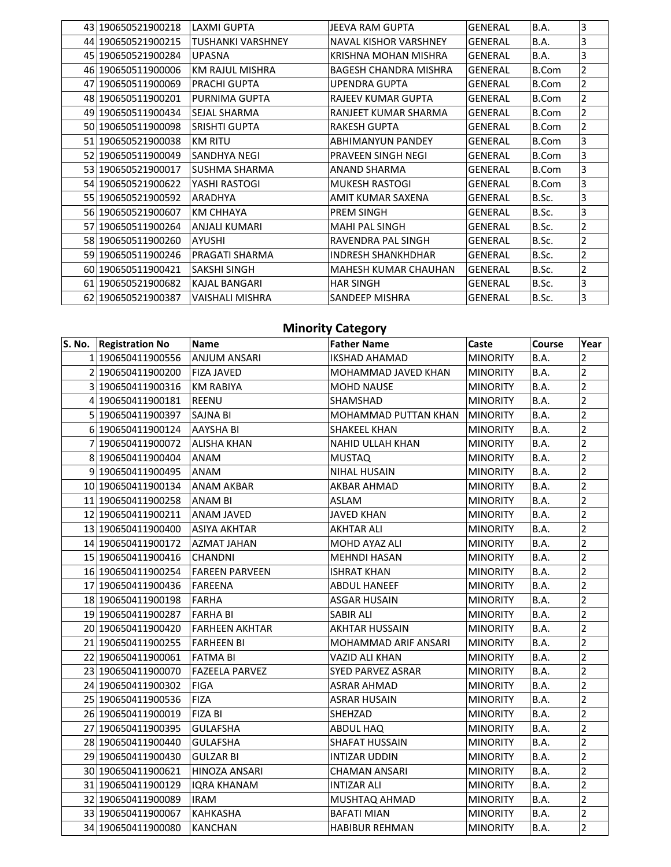| 43 190650521900218 | LAXMI GUPTA              | JEEVA RAM GUPTA             | <b>GENERAL</b> | <b>B.A.</b>  | 3              |
|--------------------|--------------------------|-----------------------------|----------------|--------------|----------------|
| 44 190650521900215 | <b>TUSHANKI VARSHNEY</b> | NAVAL KISHOR VARSHNEY       | <b>GENERAL</b> | B.A.         | 3              |
| 45 190650521900284 | <b>UPASNA</b>            | KRISHNA MOHAN MISHRA        | <b>GENERAL</b> | B.A.         | 3              |
| 46 190650511900006 | KM RAJUL MISHRA          | BAGESH CHANDRA MISHRA       | <b>GENERAL</b> | <b>B.Com</b> | $\overline{2}$ |
| 47 190650511900069 | PRACHI GUPTA             | UPENDRA GUPTA               | <b>GENERAL</b> | <b>B.Com</b> | $\overline{2}$ |
| 48 190650511900201 | PURNIMA GUPTA            | RAJEEV KUMAR GUPTA          | <b>GENERAL</b> | B.Com        | $\overline{2}$ |
| 49 190650511900434 | <b>SEJAL SHARMA</b>      | RANJEET KUMAR SHARMA        | <b>GENERAL</b> | <b>B.Com</b> | $\overline{2}$ |
| 50 190650511900098 | <b>SRISHTI GUPTA</b>     | <b>RAKESH GUPTA</b>         | <b>GENERAL</b> | B.Com        | $\overline{2}$ |
| 51 190650521900038 | <b>KM RITU</b>           | ABHIMANYUN PANDEY           | <b>GENERAL</b> | B.Com        | 3              |
| 52 190650511900049 | SANDHYA NEGI             | PRAVEEN SINGH NEGI          | <b>GENERAL</b> | B.Com        | 3              |
| 53 190650521900017 | <b>SUSHMA SHARMA</b>     | ANAND SHARMA                | <b>GENERAL</b> | <b>B.Com</b> | 3              |
| 54 190650521900622 | YASHI RASTOGI            | <b>MUKESH RASTOGI</b>       | <b>GENERAL</b> | B.Com        | 3              |
| 55 190650521900592 | ARADHYA                  | AMIT KUMAR SAXENA           | <b>GENERAL</b> | B.Sc.        | 3              |
| 56 190650521900607 | <b>KM CHHAYA</b>         | PREM SINGH                  | <b>GENERAL</b> | B.Sc.        | 3              |
| 57 190650511900264 | ANJALI KUMARI            | <b>MAHI PAL SINGH</b>       | <b>GENERAL</b> | B.Sc.        | $\overline{2}$ |
| 58 190650511900260 | <b>AYUSHI</b>            | RAVENDRA PAL SINGH          | <b>GENERAL</b> | B.Sc.        | $\overline{2}$ |
| 59 190650511900246 | PRAGATI SHARMA           | <b>INDRESH SHANKHDHAR</b>   | <b>GENERAL</b> | B.Sc.        | $\overline{2}$ |
| 60 190650511900421 | <b>SAKSHI SINGH</b>      | <b>MAHESH KUMAR CHAUHAN</b> | <b>GENERAL</b> | B.Sc.        | $\overline{2}$ |
| 61 190650521900682 | KAJAL BANGARI            | <b>HAR SINGH</b>            | <b>GENERAL</b> | B.Sc.        | 3              |
| 62 190650521900387 | <b>VAISHALI MISHRA</b>   | SANDEEP MISHRA              | <b>GENERAL</b> | B.Sc.        | 3              |

## **Minority Category**

| S. No. Registration No | <b>Name</b>           | <b>Father Name</b>          | Caste           | Course      | Year           |
|------------------------|-----------------------|-----------------------------|-----------------|-------------|----------------|
| 1 190650411900556      | <b>ANJUM ANSARI</b>   | <b>IKSHAD AHAMAD</b>        | <b>MINORITY</b> | B.A.        | 2              |
| 2 190650411900200      | <b>FIZA JAVED</b>     | MOHAMMAD JAVED KHAN         | <b>MINORITY</b> | B.A.        | $\overline{2}$ |
| 3 190650411900316      | <b>KM RABIYA</b>      | <b>MOHD NAUSE</b>           | <b>MINORITY</b> | B.A.        | $\overline{2}$ |
| 4 190650411900181      | <b>REENU</b>          | SHAMSHAD                    | <b>MINORITY</b> | B.A.        | $\overline{2}$ |
| 5 190650411900397      | <b>SAJNA BI</b>       | <b>MOHAMMAD PUTTAN KHAN</b> | <b>MINORITY</b> | B.A.        | $\overline{2}$ |
| 6 190650411900124      | AAYSHA BI             | <b>SHAKEEL KHAN</b>         | <b>MINORITY</b> | B.A.        | $\overline{2}$ |
| 7 190650411900072      | <b>ALISHA KHAN</b>    | <b>NAHID ULLAH KHAN</b>     | <b>MINORITY</b> | B.A.        | $\overline{2}$ |
| 8 190650411900404      | ANAM                  | <b>MUSTAQ</b>               | <b>MINORITY</b> | B.A.        | $\overline{2}$ |
| 9 190650411900495      | ANAM                  | <b>NIHAL HUSAIN</b>         | <b>MINORITY</b> | <b>B.A.</b> | $\overline{2}$ |
| 10 190650411900134     | <b>ANAM AKBAR</b>     | AKBAR AHMAD                 | <b>MINORITY</b> | B.A.        | $\overline{2}$ |
| 11 190650411900258     | <b>ANAM BI</b>        | ASLAM                       | <b>MINORITY</b> | <b>B.A.</b> | $\overline{2}$ |
| 12 190650411900211     | <b>ANAM JAVED</b>     | <b>JAVED KHAN</b>           | <b>MINORITY</b> | B.A.        | $\overline{2}$ |
| 13 190650411900400     | ASIYA AKHTAR          | AKHTAR ALI                  | <b>MINORITY</b> | B.A.        | $\overline{2}$ |
| 14 190650411900172     | <b>AZMAT JAHAN</b>    | MOHD AYAZ ALI               | <b>MINORITY</b> | B.A.        | $\overline{2}$ |
| 15 190650411900416     | <b>CHANDNI</b>        | MEHNDI HASAN                | <b>MINORITY</b> | B.A.        | $\overline{2}$ |
| 16 190650411900254     | <b>FAREEN PARVEEN</b> | <b>ISHRAT KHAN</b>          | <b>MINORITY</b> | B.A.        | $\overline{2}$ |
| 17 190650411900436     | FAREENA               | <b>ABDUL HANEEF</b>         | <b>MINORITY</b> | B.A.        | $\overline{2}$ |
| 18 190650411900198     | <b>FARHA</b>          | <b>ASGAR HUSAIN</b>         | <b>MINORITY</b> | B.A.        | $\overline{2}$ |
| 19 190650411900287     | <b>FARHA BI</b>       | <b>SABIR ALI</b>            | <b>MINORITY</b> | B.A.        | $\overline{2}$ |
| 20 190650411900420     | <b>FARHEEN AKHTAR</b> | AKHTAR HUSSAIN              | <b>MINORITY</b> | B.A.        | $\overline{2}$ |
| 21 190650411900255     | <b>FARHEEN BI</b>     | <b>MOHAMMAD ARIF ANSARI</b> | <b>MINORITY</b> | B.A.        | $\overline{2}$ |
| 22 190650411900061     | <b>FATMA BI</b>       | VAZID ALI KHAN              | <b>MINORITY</b> | B.A.        | $\overline{2}$ |
| 23 190650411900070     | <b>FAZEELA PARVEZ</b> | SYED PARVEZ ASRAR           | <b>MINORITY</b> | B.A.        | $\overline{2}$ |
| 24 190650411900302     | <b>FIGA</b>           | <b>ASRAR AHMAD</b>          | <b>MINORITY</b> | <b>B.A.</b> | $\overline{c}$ |
| 25 190650411900536     | <b>FIZA</b>           | <b>ASRAR HUSAIN</b>         | <b>MINORITY</b> | B.A.        | $\overline{2}$ |
| 26 190650411900019     | <b>FIZA BI</b>        | SHEHZAD                     | <b>MINORITY</b> | B.A.        | $\overline{2}$ |
| 27 190650411900395     | <b>GULAFSHA</b>       | ABDUL HAQ                   | <b>MINORITY</b> | B.A.        | $\overline{2}$ |
| 28 190650411900440     | <b>GULAFSHA</b>       | <b>SHAFAT HUSSAIN</b>       | <b>MINORITY</b> | B.A.        | $\overline{2}$ |
| 29 190650411900430     | <b>GULZAR BI</b>      | <b>INTIZAR UDDIN</b>        | <b>MINORITY</b> | B.A.        | $\overline{2}$ |
| 30 190650411900621     | HINOZA ANSARI         | <b>CHAMAN ANSARI</b>        | <b>MINORITY</b> | B.A.        | $\overline{2}$ |
| 31 190650411900129     | <b>IQRA KHANAM</b>    | <b>INTIZAR ALI</b>          | <b>MINORITY</b> | B.A.        | $\overline{2}$ |
| 32 190650411900089     | <b>IRAM</b>           | MUSHTAQ AHMAD               | <b>MINORITY</b> | <b>B.A.</b> | $\overline{2}$ |
| 33 190650411900067     | <b>KAHKASHA</b>       | <b>BAFATI MIAN</b>          | <b>MINORITY</b> | B.A.        | $\overline{2}$ |
| 34 190650411900080     | <b>KANCHAN</b>        | <b>HABIBUR REHMAN</b>       | <b>MINORITY</b> | B.A.        | $\overline{2}$ |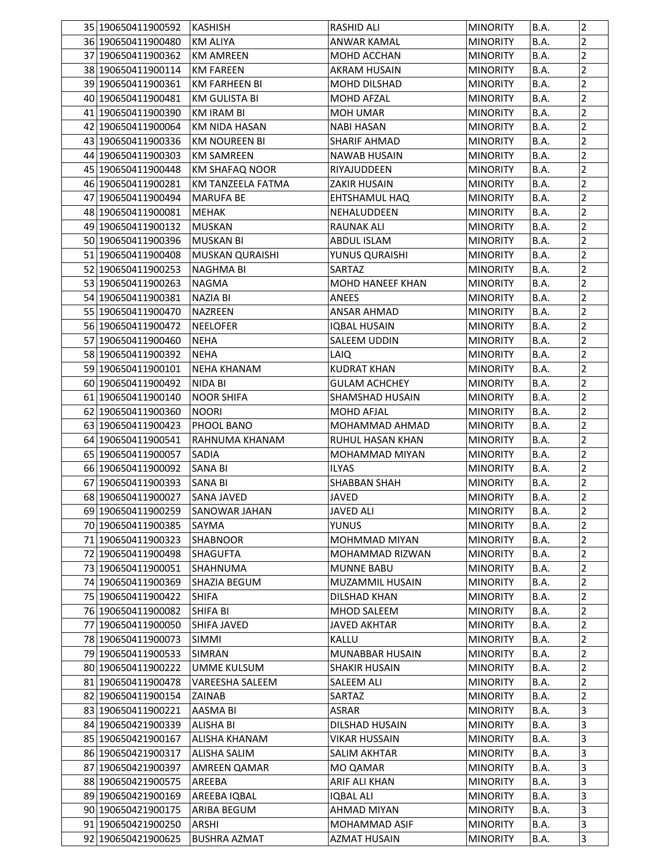| 35 190650411900592 | <b>KASHISH</b>         | RASHID ALI              | <b>MINORITY</b>                    | B.A.         | $\overline{2}$ |
|--------------------|------------------------|-------------------------|------------------------------------|--------------|----------------|
| 36 190650411900480 | <b>KM ALIYA</b>        | <b>ANWAR KAMAL</b>      | <b>MINORITY</b>                    | B.A.         | $\overline{2}$ |
| 37 190650411900362 | <b>KM AMREEN</b>       | MOHD ACCHAN             | <b>MINORITY</b>                    | B.A.         | $\overline{2}$ |
| 38 190650411900114 | <b>KM FAREEN</b>       | <b>AKRAM HUSAIN</b>     | <b>MINORITY</b>                    | B.A.         | $\overline{2}$ |
| 39 190650411900361 | <b>KM FARHEEN BI</b>   | MOHD DILSHAD            | <b>MINORITY</b>                    | B.A.         | $\overline{2}$ |
| 40 190650411900481 | <b>KM GULISTA BI</b>   | <b>MOHD AFZAL</b>       | <b>MINORITY</b>                    | B.A.         | $\overline{2}$ |
| 41 190650411900390 | <b>KM IRAM BI</b>      | <b>MOH UMAR</b>         | <b>MINORITY</b>                    | B.A.         | 2              |
| 42 190650411900064 | KM NIDA HASAN          | <b>NABI HASAN</b>       | <b>MINORITY</b>                    | B.A.         | $\overline{2}$ |
| 43 190650411900336 | <b>KM NOUREEN BI</b>   | <b>SHARIF AHMAD</b>     | <b>MINORITY</b>                    | B.A.         | $\overline{c}$ |
| 44 190650411900303 | <b>KM SAMREEN</b>      | <b>NAWAB HUSAIN</b>     | <b>MINORITY</b>                    | B.A.         | $\overline{2}$ |
| 45 190650411900448 | KM SHAFAQ NOOR         | RIYAJUDDEEN             | <b>MINORITY</b>                    | B.A.         | $\overline{2}$ |
| 46 190650411900281 | KM TANZEELA FATMA      | <b>ZAKIR HUSAIN</b>     | <b>MINORITY</b>                    | B.A.         | $\overline{2}$ |
| 47 190650411900494 | <b>MARUFA BE</b>       | EHTSHAMUL HAQ           | <b>MINORITY</b>                    | B.A.         | $\overline{2}$ |
| 48 190650411900081 | <b>MEHAK</b>           | NEHALUDDEEN             | <b>MINORITY</b>                    | B.A.         | $\overline{2}$ |
| 49 190650411900132 | <b>MUSKAN</b>          | <b>RAUNAK ALI</b>       | <b>MINORITY</b>                    | B.A.         | $\overline{c}$ |
| 50 190650411900396 | <b>MUSKAN BI</b>       | ABDUL ISLAM             | <b>MINORITY</b>                    | B.A.         | $\overline{2}$ |
| 51 190650411900408 | <b>MUSKAN QURAISHI</b> | YUNUS QURAISHI          | <b>MINORITY</b>                    | B.A.         | $\overline{2}$ |
| 52 190650411900253 | <b>NAGHMA BI</b>       | SARTAZ                  | <b>MINORITY</b>                    | B.A.         | $\overline{2}$ |
| 53 190650411900263 | <b>NAGMA</b>           | <b>MOHD HANEEF KHAN</b> | <b>MINORITY</b>                    | B.A.         | $\overline{2}$ |
| 54 190650411900381 | NAZIA BI               | ANEES                   | <b>MINORITY</b>                    | B.A.         | $\overline{2}$ |
| 55 190650411900470 | <b>NAZREEN</b>         | <b>ANSAR AHMAD</b>      | <b>MINORITY</b>                    | B.A.         | $\overline{2}$ |
| 56 190650411900472 | <b>NEELOFER</b>        | <b>IQBAL HUSAIN</b>     | <b>MINORITY</b>                    | B.A.         | $\overline{2}$ |
| 57 190650411900460 | <b>NEHA</b>            | SALEEM UDDIN            | <b>MINORITY</b>                    | B.A.         | $\overline{2}$ |
| 58 190650411900392 | <b>NEHA</b>            | LAIQ                    | <b>MINORITY</b>                    | B.A.         | $\overline{2}$ |
| 59 190650411900101 | <b>NEHA KHANAM</b>     | <b>KUDRAT KHAN</b>      | <b>MINORITY</b>                    | B.A.         | 2              |
| 60 190650411900492 | NIDA BI                | <b>GULAM ACHCHEY</b>    | <b>MINORITY</b>                    | B.A.         | 2              |
| 61 190650411900140 | <b>NOOR SHIFA</b>      | SHAMSHAD HUSAIN         | <b>MINORITY</b>                    | B.A.         | $\overline{2}$ |
| 62 190650411900360 | <b>NOORI</b>           | MOHD AFJAL              | <b>MINORITY</b>                    | B.A.         | $\overline{2}$ |
| 63 190650411900423 | PHOOL BANO             | MOHAMMAD AHMAD          | <b>MINORITY</b>                    | B.A.         | $\overline{2}$ |
| 64 190650411900541 | RAHNUMA KHANAM         | RUHUL HASAN KHAN        | <b>MINORITY</b>                    | B.A.         | $\overline{2}$ |
| 65 190650411900057 | <b>SADIA</b>           | MOHAMMAD MIYAN          | <b>MINORITY</b>                    | B.A.         | 2              |
| 66 190650411900092 | SANA BI                | <b>ILYAS</b>            | <b>MINORITY</b>                    | B.A.         | $\overline{2}$ |
| 67 190650411900393 | <b>SANA BI</b>         | <b>SHABBAN SHAH</b>     | <b>MINORITY</b>                    | B.A.         | $\overline{2}$ |
| 68 190650411900027 | <b>SANA JAVED</b>      | JAVED                   | <b>MINORITY</b>                    | B.A.         | $\overline{2}$ |
| 69 190650411900259 | SANOWAR JAHAN          | <b>JAVED ALI</b>        | <b>MINORITY</b>                    | <b>B.A.</b>  | $\overline{2}$ |
| 70 190650411900385 | SAYMA                  | <b>YUNUS</b>            | <b>MINORITY</b>                    | B.A.         | $\overline{2}$ |
| 71 190650411900323 | <b>SHABNOOR</b>        | <b>MOHMMAD MIYAN</b>    | <b>MINORITY</b>                    | B.A.         | 2              |
| 72 190650411900498 | <b>SHAGUFTA</b>        | MOHAMMAD RIZWAN         | <b>MINORITY</b>                    | B.A.         | $\overline{2}$ |
| 73 190650411900051 | SHAHNUMA               | <b>MUNNE BABU</b>       | <b>MINORITY</b>                    | B.A.         | $\overline{2}$ |
| 74 190650411900369 | SHAZIA BEGUM           | MUZAMMIL HUSAIN         |                                    | B.A.         | $\overline{2}$ |
| 75 190650411900422 | <b>SHIFA</b>           | DILSHAD KHAN            | <b>MINORITY</b><br><b>MINORITY</b> | B.A.         | $\overline{2}$ |
| 76 190650411900082 | SHIFA BI               | <b>MHOD SALEEM</b>      |                                    |              | $\overline{2}$ |
| 77 190650411900050 | SHIFA JAVED            | <b>JAVED AKHTAR</b>     | <b>MINORITY</b><br><b>MINORITY</b> | B.A.<br>B.A. | 2              |
| 78 190650411900073 | <b>SIMMI</b>           | KALLU                   | <b>MINORITY</b>                    | B.A.         | 2              |
| 79 190650411900533 | <b>SIMRAN</b>          | MUNABBAR HUSAIN         |                                    | B.A.         | $\overline{2}$ |
| 80 190650411900222 | <b>UMME KULSUM</b>     | <b>SHAKIR HUSAIN</b>    | <b>MINORITY</b>                    | B.A.         | 2              |
|                    |                        |                         | <b>MINORITY</b>                    |              |                |
| 81 190650411900478 | VAREESHA SALEEM        | SALEEM ALI              | <b>MINORITY</b>                    | B.A.         | $\overline{2}$ |
| 82 190650411900154 | ZAINAB                 | SARTAZ                  | <b>MINORITY</b>                    | B.A.         | $\overline{2}$ |
| 83 190650411900221 | AASMA BI               | ASRAR                   | <b>MINORITY</b>                    | B.A.         | 3              |
| 84 190650421900339 | ALISHA BI              | DILSHAD HUSAIN          | <b>MINORITY</b>                    | B.A.         | 3              |
| 85 190650421900167 | ALISHA KHANAM          | <b>VIKAR HUSSAIN</b>    | <b>MINORITY</b>                    | B.A.         | 3              |
| 86 190650421900317 | ALISHA SALIM           | SALIM AKHTAR            | <b>MINORITY</b>                    | B.A.         | 3              |
| 87 190650421900397 | <b>AMREEN QAMAR</b>    | MO QAMAR                | <b>MINORITY</b>                    | B.A.         | 3              |
| 88 190650421900575 | AREEBA                 | <b>ARIF ALI KHAN</b>    | <b>MINORITY</b>                    | B.A.         | 3              |
| 89 190650421900169 | AREEBA IQBAL           | <b>IQBAL ALI</b>        | <b>MINORITY</b>                    | B.A.         | 3              |
| 90 190650421900175 | ARIBA BEGUM            | AHMAD MIYAN             | <b>MINORITY</b>                    | B.A.         | 3              |
| 91 190650421900250 | ARSHI                  | MOHAMMAD ASIF           | <b>MINORITY</b>                    | B.A.         | 3              |
| 92 190650421900625 | <b>BUSHRA AZMAT</b>    | AZMAT HUSAIN            | <b>MINORITY</b>                    | B.A.         | 3              |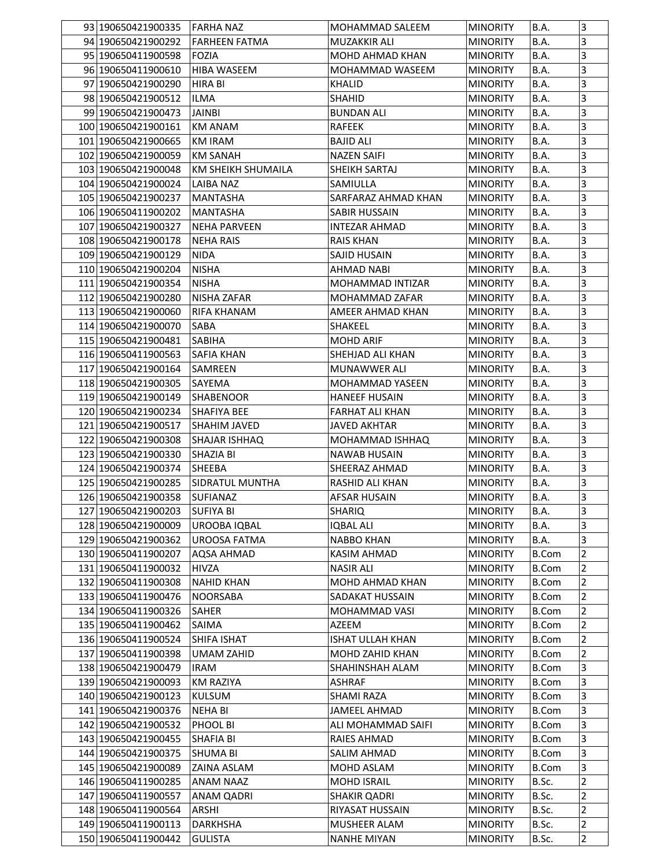| 93 190650421900335  | <b>FARHA NAZ</b>     | MOHAMMAD SALEEM         | <b>MINORITY</b> | B.A.         | 3                       |
|---------------------|----------------------|-------------------------|-----------------|--------------|-------------------------|
| 94 190650421900292  | <b>FARHEEN FATMA</b> | <b>MUZAKKIR ALI</b>     | <b>MINORITY</b> | B.A.         | 3                       |
| 95 190650411900598  | <b>FOZIA</b>         | MOHD AHMAD KHAN         | <b>MINORITY</b> | B.A.         | 3                       |
| 96 190650411900610  | <b>HIBA WASEEM</b>   | MOHAMMAD WASEEM         | <b>MINORITY</b> | B.A.         | 3                       |
| 97 190650421900290  | <b>HIRA BI</b>       | <b>KHALID</b>           | <b>MINORITY</b> | B.A.         | 3                       |
| 98 190650421900512  | <b>ILMA</b>          | <b>SHAHID</b>           | <b>MINORITY</b> | B.A.         | 3                       |
| 99 190650421900473  | <b>JAINBI</b>        | BUNDAN ALI              | <b>MINORITY</b> | B.A.         | 3                       |
| 100 190650421900161 | <b>KM ANAM</b>       | <b>RAFEEK</b>           | <b>MINORITY</b> | B.A.         | 3                       |
| 101 190650421900665 | <b>KM IRAM</b>       | <b>BAJID ALI</b>        | <b>MINORITY</b> | B.A.         | 3                       |
|                     |                      |                         |                 |              | 3                       |
| 102 190650421900059 | <b>KM SANAH</b>      | <b>NAZEN SAIFI</b>      | <b>MINORITY</b> | B.A.         |                         |
| 103 190650421900048 | KM SHEIKH SHUMAILA   | SHEIKH SARTAJ           | <b>MINORITY</b> | B.A.         | 3                       |
| 104 190650421900024 | <b>LAIBA NAZ</b>     | SAMIULLA                | <b>MINORITY</b> | B.A.         | 3                       |
| 105 190650421900237 | <b>MANTASHA</b>      | SARFARAZ AHMAD KHAN     | <b>MINORITY</b> | B.A.         | 3                       |
| 106 190650411900202 | <b>MANTASHA</b>      | <b>SABIR HUSSAIN</b>    | <b>MINORITY</b> | B.A.         | 3                       |
| 107 190650421900327 | <b>NEHA PARVEEN</b>  | <b>INTEZAR AHMAD</b>    | <b>MINORITY</b> | B.A.         | 3                       |
| 108 190650421900178 | NEHA RAIS            | <b>RAIS KHAN</b>        | <b>MINORITY</b> | B.A.         | 3                       |
| 109 190650421900129 | <b>NIDA</b>          | <b>SAJID HUSAIN</b>     | <b>MINORITY</b> | B.A.         | 3                       |
| 110 190650421900204 | <b>NISHA</b>         | <b>AHMAD NABI</b>       | <b>MINORITY</b> | B.A.         | 3                       |
| 111 190650421900354 | <b>NISHA</b>         | MOHAMMAD INTIZAR        | <b>MINORITY</b> | B.A.         | 3                       |
| 112 190650421900280 | NISHA ZAFAR          | MOHAMMAD ZAFAR          | <b>MINORITY</b> | B.A.         | 3                       |
| 113 190650421900060 | RIFA KHANAM          | AMEER AHMAD KHAN        | <b>MINORITY</b> | B.A.         | 3                       |
| 114 190650421900070 | SABA                 | SHAKEEL                 | <b>MINORITY</b> | B.A.         | 3                       |
| 115 190650421900481 | SABIHA               | <b>MOHD ARIF</b>        | <b>MINORITY</b> | B.A.         | 3                       |
| 116 190650411900563 | <b>SAFIA KHAN</b>    | SHEHJAD ALI KHAN        | <b>MINORITY</b> | B.A.         | 3                       |
| 117 190650421900164 | SAMREEN              | <b>MUNAWWER ALI</b>     | <b>MINORITY</b> | B.A.         | 3                       |
| 118 190650421900305 | SAYEMA               | MOHAMMAD YASEEN         | <b>MINORITY</b> | B.A.         | 3                       |
| 119 190650421900149 | <b>SHABENOOR</b>     | <b>HANEEF HUSAIN</b>    | <b>MINORITY</b> | B.A.         | 3                       |
| 120 190650421900234 | <b>SHAFIYA BEE</b>   | <b>FARHAT ALI KHAN</b>  | <b>MINORITY</b> | B.A.         | 3                       |
|                     |                      |                         |                 |              | 3                       |
| 121 190650421900517 | SHAHIM JAVED         | <b>JAVED AKHTAR</b>     | <b>MINORITY</b> | B.A.         |                         |
| 122 190650421900308 | SHAJAR ISHHAQ        | MOHAMMAD ISHHAQ         | <b>MINORITY</b> | B.A.         | 3                       |
| 123 190650421900330 | SHAZIA BI            | <b>NAWAB HUSAIN</b>     | <b>MINORITY</b> | B.A.         | 3                       |
| 124 190650421900374 | SHEEBA               | SHEERAZ AHMAD           | <b>MINORITY</b> | B.A.         | 3                       |
| 125 190650421900285 | SIDRATUL MUNTHA      | RASHID ALI KHAN         | <b>MINORITY</b> | B.A.         | 3                       |
| 126 190650421900358 | <b>SUFIANAZ</b>      | AFSAR HUSAIN            | <b>MINORITY</b> | B.A.         | 3                       |
| 127 190650421900203 | SUFIYA BI            | SHARIQ                  | <b>MINORITY</b> | B.A.         | 3                       |
| 128 190650421900009 | UROOBA IQBAL         | <b>IQBAL ALI</b>        | <b>MINORITY</b> | B.A.         | 3                       |
| 129 190650421900362 | UROOSA FATMA         | <b>NABBO KHAN</b>       | <b>MINORITY</b> | B.A.         | 3                       |
| 130 190650411900207 | AQSA AHMAD           | <b>KASIM AHMAD</b>      | <b>MINORITY</b> | <b>B.Com</b> | $\overline{2}$          |
| 131 190650411900032 | <b>HIVZA</b>         | <b>NASIR ALI</b>        | <b>MINORITY</b> | <b>B.Com</b> | 2                       |
| 132 190650411900308 | <b>NAHID KHAN</b>    | <b>MOHD AHMAD KHAN</b>  | <b>MINORITY</b> | <b>B.Com</b> | 2                       |
| 133 190650411900476 | <b>NOORSABA</b>      | <b>SADAKAT HUSSAIN</b>  | <b>MINORITY</b> | <b>B.Com</b> | $\overline{\mathbf{c}}$ |
| 134 190650411900326 | SAHER                | MOHAMMAD VASI           | <b>MINORITY</b> | <b>B.Com</b> | 2                       |
| 135 190650411900462 | <b>SAIMA</b>         | AZEEM                   | <b>MINORITY</b> | <b>B.Com</b> | 2                       |
| 136 190650411900524 | SHIFA ISHAT          | <b>ISHAT ULLAH KHAN</b> | <b>MINORITY</b> | <b>B.Com</b> | 2                       |
| 137 190650411900398 | UMAM ZAHID           | MOHD ZAHID KHAN         | <b>MINORITY</b> | <b>B.Com</b> | 2                       |
| 138 190650421900479 | <b>IRAM</b>          | SHAHINSHAH ALAM         | <b>MINORITY</b> | <b>B.Com</b> | 3                       |
| 139 190650421900093 | <b>KM RAZIYA</b>     | <b>ASHRAF</b>           | <b>MINORITY</b> | <b>B.Com</b> | 3                       |
| 140 190650421900123 | <b>KULSUM</b>        | SHAMI RAZA              | <b>MINORITY</b> | <b>B.Com</b> | 3                       |
| 141 190650421900376 | <b>NEHA BI</b>       | <b>JAMEEL AHMAD</b>     | <b>MINORITY</b> | <b>B.Com</b> | 3                       |
| 142 190650421900532 | PHOOL BI             | ALI MOHAMMAD SAIFI      | <b>MINORITY</b> | <b>B.Com</b> | 3                       |
| 143 190650421900455 | SHAFIA BI            | <b>RAIES AHMAD</b>      | <b>MINORITY</b> | <b>B.Com</b> | 3                       |
| 144 190650421900375 | <b>SHUMA BI</b>      | <b>SALIM AHMAD</b>      | <b>MINORITY</b> | <b>B.Com</b> | 3                       |
| 145 190650421900089 | ZAINA ASLAM          | MOHD ASLAM              | <b>MINORITY</b> | <b>B.Com</b> | 3                       |
|                     |                      |                         |                 |              |                         |
| 146 190650411900285 | ANAM NAAZ            | <b>MOHD ISRAIL</b>      | <b>MINORITY</b> | B.Sc.        | 2                       |
| 147 190650411900557 | ANAM QADRI           | <b>SHAKIR QADRI</b>     | <b>MINORITY</b> | B.Sc.        | 2                       |
| 148 190650411900564 | ARSHI                | RIYASAT HUSSAIN         | <b>MINORITY</b> | B.Sc.        | 2                       |
| 149 190650411900113 | <b>DARKHSHA</b>      | MUSHEER ALAM            | <b>MINORITY</b> | B.Sc.        | 2                       |
| 150 190650411900442 | <b>GULISTA</b>       | <b>NANHE MIYAN</b>      | <b>MINORITY</b> | B.Sc.        | 2                       |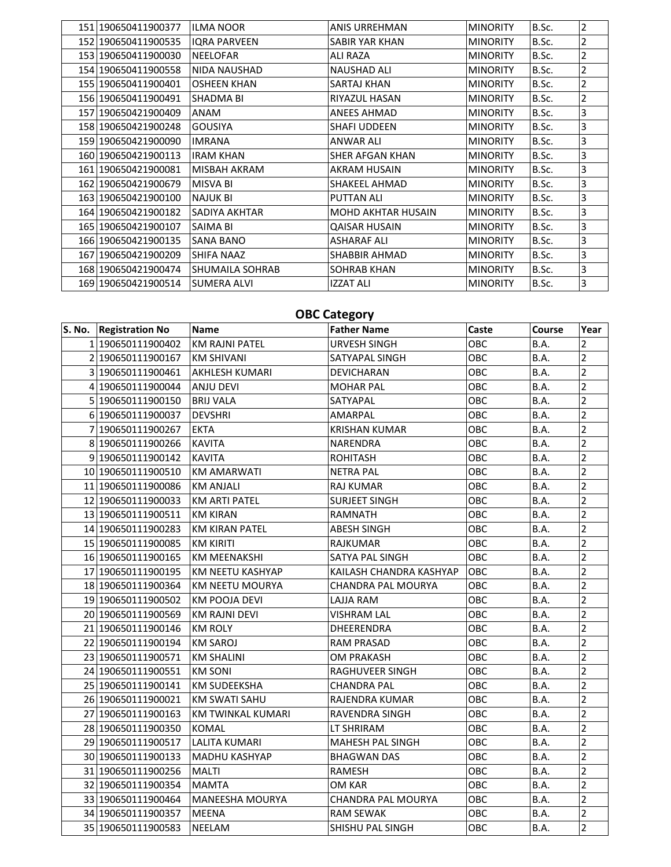| 151 190650411900377 | ILMA NOOR              | <b>ANIS URREHMAN</b>      | <b>MINORITY</b> | B.Sc. | $\overline{2}$ |
|---------------------|------------------------|---------------------------|-----------------|-------|----------------|
| 152 190650411900535 | <b>IORA PARVEEN</b>    | SABIR YAR KHAN            | <b>MINORITY</b> | B.Sc. | $\overline{2}$ |
| 153 190650411900030 | <b>NEELOFAR</b>        | ALI RAZA                  | <b>MINORITY</b> | B.Sc. | $\overline{2}$ |
| 154 190650411900558 | <b>NIDA NAUSHAD</b>    | <b>NAUSHAD ALI</b>        | <b>MINORITY</b> | B.Sc. | $\overline{c}$ |
| 155 190650411900401 | <b>OSHEEN KHAN</b>     | SARTAJ KHAN               | <b>MINORITY</b> | B.Sc. | 2              |
| 156 190650411900491 | <b>SHADMA BI</b>       | RIYAZUL HASAN             | <b>MINORITY</b> | B.Sc. | $\overline{c}$ |
| 157 190650421900409 | ANAM                   | ANEES AHMAD               | <b>MINORITY</b> | B.Sc. | 3              |
| 158 190650421900248 | <b>GOUSIYA</b>         | <b>SHAFI UDDEEN</b>       | <b>MINORITY</b> | B.Sc. | 3              |
| 159 190650421900090 | <b>IMRANA</b>          | <b>ANWAR ALI</b>          | <b>MINORITY</b> | B.Sc. | 3              |
| 160 190650421900113 | <b>IRAM KHAN</b>       | SHER AFGAN KHAN           | <b>MINORITY</b> | B.Sc. | 3              |
| 161 190650421900081 | MISBAH AKRAM           | AKRAM HUSAIN              | <b>MINORITY</b> | B.Sc. | 3              |
| 162 190650421900679 | <b>MISVA BI</b>        | <b>SHAKEEL AHMAD</b>      | <b>MINORITY</b> | B.Sc. | 3              |
| 163 190650421900100 | <b>NAJUK BI</b>        | <b>PUTTAN ALI</b>         | <b>MINORITY</b> | B.Sc. | 3              |
| 164 190650421900182 | SADIYA AKHTAR          | <b>MOHD AKHTAR HUSAIN</b> | <b>MINORITY</b> | B.Sc. | 3              |
| 165 190650421900107 | SAIMA BI               | <b>QAISAR HUSAIN</b>      | <b>MINORITY</b> | B.Sc. | 3              |
| 166 190650421900135 | <b>SANA BANO</b>       | <b>ASHARAF ALI</b>        | <b>MINORITY</b> | B.Sc. | 3              |
| 167 190650421900209 | SHIFA NAAZ             | <b>SHABBIR AHMAD</b>      | <b>MINORITY</b> | B.Sc. | 3              |
| 168 190650421900474 | <b>SHUMAILA SOHRAB</b> | <b>SOHRAB KHAN</b>        | <b>MINORITY</b> | B.Sc. | 3              |
| 169 190650421900514 | <b>SUMERA ALVI</b>     | <b>IZZAT ALI</b>          | <b>MINORITY</b> | B.Sc. | 3              |

## **OBC Category**

| S. No. | <b>Registration No</b> | <b>Name</b>            | <b>Father Name</b>        | Caste      | Course | Year           |
|--------|------------------------|------------------------|---------------------------|------------|--------|----------------|
|        | 1 190650111900402      | <b>KM RAJNI PATEL</b>  | URVESH SINGH              | OBC        | B.A.   | 2              |
|        | 2 190650111900167      | <b>KM SHIVANI</b>      | SATYAPAL SINGH            | OBC        | B.A.   | $\overline{2}$ |
|        | 3 190650111900461      | AKHLESH KUMARI         | <b>DEVICHARAN</b>         | OBC        | B.A.   | $\overline{2}$ |
|        | 4 190650111900044      | <b>ANJU DEVI</b>       | <b>MOHAR PAL</b>          | <b>OBC</b> | B.A.   | $\overline{2}$ |
|        | 5 190650111900150      | <b>BRIJ VALA</b>       | SATYAPAL                  | OBC        | B.A.   | $\overline{2}$ |
|        | 6 190650111900037      | <b>DEVSHRI</b>         | AMARPAL                   | OBC        | B.A.   | $\overline{2}$ |
|        | 7 190650111900267      | <b>EKTA</b>            | <b>KRISHAN KUMAR</b>      | OBC        | B.A.   | $\overline{2}$ |
|        | 8 190650111900266      | <b>KAVITA</b>          | NARENDRA                  | OBC        | B.A.   | $\overline{2}$ |
|        | 9 190650111900142      | <b>KAVITA</b>          | <b>ROHITASH</b>           | OBC        | B.A.   | $\overline{2}$ |
|        | 10 190650111900510     | <b>KM AMARWATI</b>     | <b>NETRA PAL</b>          | OBC        | B.A.   | $\overline{2}$ |
|        | 11 190650111900086     | <b>KM ANJALI</b>       | <b>RAJ KUMAR</b>          | OBC        | B.A.   | $\overline{2}$ |
|        | 12 190650111900033     | <b>KM ARTI PATEL</b>   | <b>SURJEET SINGH</b>      | ОВС        | B.A.   | $\overline{2}$ |
|        | 13 190650111900511     | <b>KM KIRAN</b>        | <b>RAMNATH</b>            | OBC        | B.A.   | $\overline{2}$ |
|        | 14 190650111900283     | KM KIRAN PATEL         | ABESH SINGH               | OBC        | B.A.   | $\overline{2}$ |
|        | 15 190650111900085     | <b>KM KIRITI</b>       | RAJKUMAR                  | ОВС        | B.A.   | $\overline{2}$ |
|        | 16 190650111900165     | <b>KM MEENAKSHI</b>    | SATYA PAL SINGH           | <b>OBC</b> | B.A.   | $\overline{2}$ |
|        | 17 190650111900195     | KM NEETU KASHYAP       | KAILASH CHANDRA KASHYAP   | OBC        | B.A.   | $\overline{2}$ |
|        | 18 190650111900364     | <b>KM NEETU MOURYA</b> | <b>CHANDRA PAL MOURYA</b> | OBC        | B.A.   | $\overline{2}$ |
|        | 19 190650111900502     | KM POOJA DEVI          | LAJJA RAM                 | OBC        | B.A.   | $\overline{2}$ |
|        | 20 190650111900569     | <b>KM RAJNI DEVI</b>   | VISHRAM LAL               | OBC        | B.A.   | $\overline{2}$ |
|        | 21 190650111900146     | KM ROLY                | DHEERENDRA                | OBC        | B.A.   | $\overline{2}$ |
|        | 22 190650111900194     | <b>KM SAROJ</b>        | <b>RAM PRASAD</b>         | OBC        | B.A.   | $\overline{2}$ |
|        | 23 190650111900571     | <b>KM SHALINI</b>      | OM PRAKASH                | OBC        | B.A.   | $\overline{2}$ |
|        | 24 190650111900551     | <b>KM SONI</b>         | RAGHUVEER SINGH           | OBC        | B.A.   | $\overline{2}$ |
|        | 25 190650111900141     | <b>KM SUDEEKSHA</b>    | <b>CHANDRA PAL</b>        | OBC        | B.A.   | $\overline{2}$ |
|        | 26 190650111900021     | <b>KM SWATI SAHU</b>   | RAJENDRA KUMAR            | ОВС        | B.A.   | $\overline{2}$ |
|        | 27 190650111900163     | KM TWINKAL KUMARI      | RAVENDRA SINGH            | OBC        | B.A.   | $\overline{2}$ |
|        | 28 190650111900350     | <b>KOMAL</b>           | LT SHRIRAM                | OBC        | B.A.   | $\overline{2}$ |
|        | 29 190650111900517     | <b>LALITA KUMARI</b>   | <b>MAHESH PAL SINGH</b>   | OBC        | B.A.   | $\overline{2}$ |
|        | 30 190650111900133     | MADHU KASHYAP          | <b>BHAGWAN DAS</b>        | OBC        | B.A.   | $\overline{2}$ |
|        | 31 190650111900256     | <b>MALTI</b>           | RAMESH                    | OBC        | B.A.   | $\overline{2}$ |
|        | 32 190650111900354     | <b>MAMTA</b>           | OM KAR                    | OBC        | B.A.   | $\overline{2}$ |
|        | 33 190650111900464     | MANEESHA MOURYA        | CHANDRA PAL MOURYA        | <b>OBC</b> | B.A.   | $\overline{2}$ |
|        | 34 190650111900357     | <b>MEENA</b>           | <b>RAM SEWAK</b>          | OBC        | B.A.   | $\overline{2}$ |
|        | 35 190650111900583     | <b>NEELAM</b>          | SHISHU PAL SINGH          | OBC        | B.A.   | $\overline{2}$ |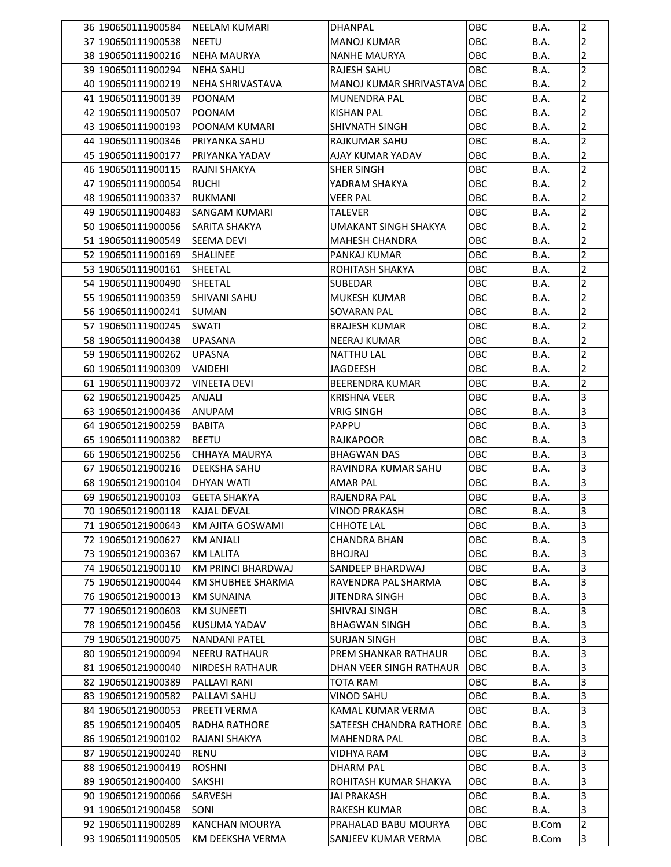| 36 190650111900584             | NEELAM KUMARI             | <b>DHANPAL</b>              | OBC | B.A.         | 2 |
|--------------------------------|---------------------------|-----------------------------|-----|--------------|---|
| 37 190650111900538             | <b>NEETU</b>              | <b>MANOJ KUMAR</b>          | OBC | B.A.         | 2 |
| 38 190650111900216             | <b>NEHA MAURYA</b>        | <b>NANHE MAURYA</b>         | OBC | B.A.         | 2 |
| 39 190650111900294             | <b>NEHA SAHU</b>          | RAJESH SAHU                 | OBC | B.A.         | 2 |
| 40 190650111900219             | <b>NEHA SHRIVASTAVA</b>   | MANOJ KUMAR SHRIVASTAVA OBC |     | B.A.         | 2 |
| 41 190650111900139             | <b>POONAM</b>             | <b>MUNENDRA PAL</b>         | OBC | B.A.         | 2 |
| 42 190650111900507             | <b>POONAM</b>             | <b>KISHAN PAL</b>           | OBC | B.A.         | 2 |
| 43 190650111900193             | POONAM KUMARI             | SHIVNATH SINGH              | OBC | B.A.         | 2 |
| 44 190650111900346             | <b>PRIYANKA SAHU</b>      | RAJKUMAR SAHU               | OBC | B.A.         | 2 |
| 45 190650111900177             | PRIYANKA YADAV            | AJAY KUMAR YADAV            | OBC | B.A.         | 2 |
| 46 190650111900115             | RAJNI SHAKYA              | <b>SHER SINGH</b>           | OBC | B.A.         | 2 |
| 47 190650111900054             | <b>RUCHI</b>              | YADRAM SHAKYA               | OBC | B.A.         | 2 |
| 48 190650111900337             | <b>RUKMANI</b>            | <b>VEER PAL</b>             | OBC | B.A.         | 2 |
| 49 190650111900483             | <b>SANGAM KUMARI</b>      | TALEVER                     | OBC | B.A.         | 2 |
| 50 190650111900056             | <b>SARITA SHAKYA</b>      | UMAKANT SINGH SHAKYA        | OBC | B.A.         | 2 |
| 51 190650111900549             | <b>SEEMA DEVI</b>         | MAHESH CHANDRA              | OBC | B.A.         | 2 |
| 52 190650111900169             | <b>SHALINEE</b>           | PANKAJ KUMAR                | OBC | B.A.         | 2 |
| 53 190650111900161             | SHEETAL                   | ROHITASH SHAKYA             | OBC | B.A.         | 2 |
| 54 190650111900490             | <b>SHEETAL</b>            | <b>SUBEDAR</b>              | OBC | B.A.         | 2 |
| 55 190650111900359             | <b>SHIVANI SAHU</b>       | <b>MUKESH KUMAR</b>         | OBC | B.A.         | 2 |
| 56 190650111900241             | <b>SUMAN</b>              | <b>SOVARAN PAL</b>          | OBC | B.A.         | 2 |
| 57 190650111900245             | <b>SWATI</b>              | <b>BRAJESH KUMAR</b>        | OBC | B.A.         | 2 |
|                                |                           |                             |     |              |   |
| 58 190650111900438             | <b>UPASANA</b>            | <b>NEERAJ KUMAR</b>         | OBC | B.A.         | 2 |
| 59 190650111900262             | <b>UPASNA</b>             | <b>NATTHU LAL</b>           | OBC | B.A.         | 2 |
| 60 190650111900309             | <b>VAIDEHI</b>            | <b>JAGDEESH</b>             | OBC | B.A.         | 2 |
| 61 190650111900372             | <b>VINEETA DEVI</b>       | <b>BEERENDRA KUMAR</b>      | OBC | B.A.         | 2 |
| 62 190650121900425             | ANJALI                    | <b>KRISHNA VEER</b>         | OBC | B.A.         | 3 |
| 63 190650121900436             | ANUPAM                    | <b>VRIG SINGH</b>           | OBC | B.A.         | 3 |
| 64 190650121900259             | <b>BABITA</b>             | PAPPU                       | OBC | B.A.         | 3 |
| 65 190650111900382             | <b>BEETU</b>              | <b>RAJKAPOOR</b>            | OBC | B.A.         | 3 |
| 66 190650121900256             | CHHAYA MAURYA             | <b>BHAGWAN DAS</b>          | OBC | B.A.         | 3 |
| 67 190650121900216             | DEEKSHA SAHU              | RAVINDRA KUMAR SAHU         | OBC | B.A.         | 3 |
| 68 190650121900104             | <b>DHYAN WATI</b>         | <b>AMAR PAL</b>             | OBC | B.A.         | 3 |
| 69 190650121900103             | <b>GEETA SHAKYA</b>       | RAJENDRA PAL                | OBC | B.A.         | 3 |
| 70 190650121900118 KAJAL DEVAL |                           | <b>VINOD PRAKASH</b>        | OBC | B.A.         | 3 |
| 71 190650121900643             | KM AJITA GOSWAMI          | CHHOTE LAL                  | OBC | B.A.         | 3 |
| 72 190650121900627             | <b>KM ANJALI</b>          | <b>CHANDRA BHAN</b>         | OBC | B.A.         | 3 |
| 73 190650121900367             | <b>KM LALITA</b>          | <b>BHOJRAJ</b>              | OBC | B.A.         | 3 |
| 74 190650121900110             | <b>KM PRINCI BHARDWAJ</b> | SANDEEP BHARDWAJ            | OBC | B.A.         | 3 |
| 75 190650121900044             | KM SHUBHEE SHARMA         | RAVENDRA PAL SHARMA         | OBC | B.A.         | 3 |
| 76 190650121900013             | <b>KM SUNAINA</b>         | JITENDRA SINGH              | OBC | B.A.         | 3 |
| 77 190650121900603             | <b>KM SUNEETI</b>         | SHIVRAJ SINGH               | OBC | B.A.         | 3 |
| 78 190650121900456             | KUSUMA YADAV              | <b>BHAGWAN SINGH</b>        | OBC | B.A.         | 3 |
| 79 190650121900075             | <b>NANDANI PATEL</b>      | <b>SURJAN SINGH</b>         | OBC | B.A.         | 3 |
| 80 190650121900094             | <b>NEERU RATHAUR</b>      | PREM SHANKAR RATHAUR        | OBC | B.A.         | 3 |
| 81 190650121900040             | <b>NIRDESH RATHAUR</b>    | DHAN VEER SINGH RATHAUR     | OBC | B.A.         | 3 |
| 82 190650121900389             | PALLAVI RANI              | <b>TOTA RAM</b>             | OBC | B.A.         | 3 |
| 83 190650121900582             | PALLAVI SAHU              | <b>VINOD SAHU</b>           | OBC | B.A.         | 3 |
| 84 190650121900053             | PREETI VERMA              | KAMAL KUMAR VERMA           | OBC | B.A.         | 3 |
| 85 190650121900405             | RADHA RATHORE             | SATEESH CHANDRA RATHORE     | OBC | B.A.         | 3 |
| 86 190650121900102             | RAJANI SHAKYA             | <b>MAHENDRA PAL</b>         | OBC | B.A.         | 3 |
| 87 190650121900240             | <b>RENU</b>               | <b>VIDHYA RAM</b>           | OBC | B.A.         | 3 |
| 88 190650121900419             | <b>ROSHNI</b>             | <b>DHARM PAL</b>            | OBC | B.A.         | 3 |
| 89 190650121900400             | SAKSHI                    | ROHITASH KUMAR SHAKYA       | OBC | B.A.         | 3 |
| 90 190650121900066             | SARVESH                   | <b>JAI PRAKASH</b>          | OBC | B.A.         | 3 |
| 91 190650121900458             | SONI                      | RAKESH KUMAR                | OBC | B.A.         | 3 |
| 92 190650111900289             | <b>KANCHAN MOURYA</b>     | PRAHALAD BABU MOURYA        | OBC | <b>B.Com</b> | 2 |
| 93 190650111900505             | KM DEEKSHA VERMA          | SANJEEV KUMAR VERMA         | OBC | <b>B.Com</b> | 3 |
|                                |                           |                             |     |              |   |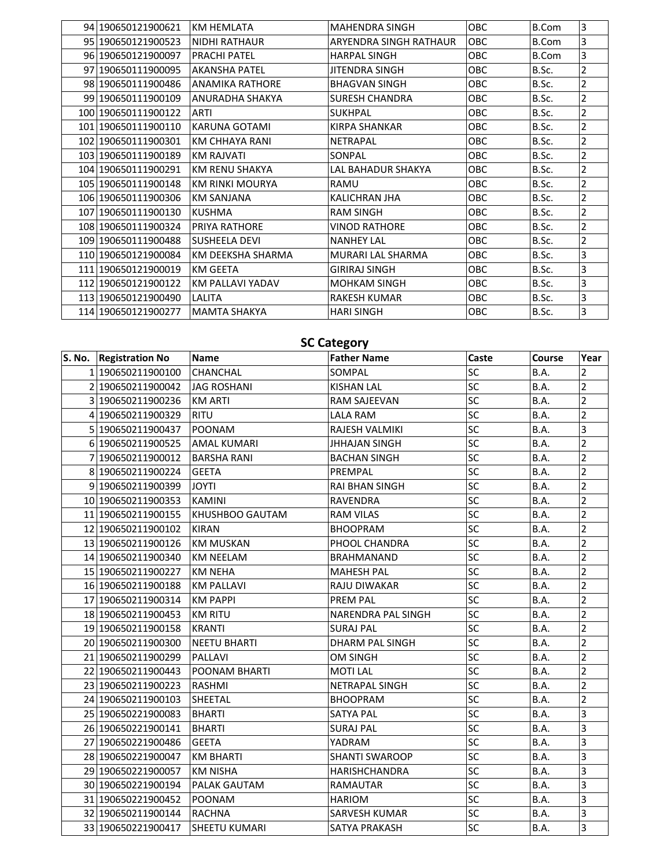| 94 190650121900621  | <b>KM HEMLATA</b>      | <b>MAHENDRA SINGH</b>  | OBC        | B.Com | 3              |
|---------------------|------------------------|------------------------|------------|-------|----------------|
| 95 190650121900523  | <b>NIDHI RATHAUR</b>   | ARYENDRA SINGH RATHAUR | <b>OBC</b> | B.Com | 3              |
| 96 190650121900097  | <b>PRACHI PATEL</b>    | <b>HARPAL SINGH</b>    | <b>OBC</b> | B.Com | 3              |
| 97 190650111900095  | <b>AKANSHA PATEL</b>   | JITENDRA SINGH         | <b>OBC</b> | B.Sc. | $\overline{2}$ |
| 98 190650111900486  | <b>ANAMIKA RATHORE</b> | <b>BHAGVAN SINGH</b>   | <b>OBC</b> | B.Sc. | $\overline{2}$ |
| 99 190650111900109  | ANURADHA SHAKYA        | <b>SURESH CHANDRA</b>  | <b>OBC</b> | B.Sc. | $\overline{c}$ |
| 100 190650111900122 | <b>ARTI</b>            | <b>SUKHPAL</b>         | <b>OBC</b> | B.Sc. | $\overline{2}$ |
| 101 190650111900110 | KARUNA GOTAMI          | KIRPA SHANKAR          | <b>OBC</b> | B.Sc. | $\overline{2}$ |
| 102 190650111900301 | <b>KM CHHAYA RANI</b>  | <b>NETRAPAL</b>        | <b>OBC</b> | B.Sc. | $\overline{2}$ |
| 103 190650111900189 | <b>KM RAJVATI</b>      | SONPAL                 | <b>OBC</b> | B.Sc. | $\overline{2}$ |
| 104 190650111900291 | KM RENU SHAKYA         | LAL BAHADUR SHAKYA     | <b>OBC</b> | B.Sc. | $\overline{2}$ |
| 105 190650111900148 | <b>KM RINKI MOURYA</b> | RAMU                   | <b>OBC</b> | B.Sc. | $\overline{2}$ |
| 106 190650111900306 | KM SANJANA             | <b>KALICHRAN JHA</b>   | <b>OBC</b> | B.Sc. | $\overline{2}$ |
| 107 190650111900130 | <b>KUSHMA</b>          | <b>RAM SINGH</b>       | <b>OBC</b> | B.Sc. | $\overline{2}$ |
| 108 190650111900324 | PRIYA RATHORE          | <b>VINOD RATHORE</b>   | <b>OBC</b> | B.Sc. | $\overline{2}$ |
| 109 190650111900488 | <b>SUSHEELA DEVI</b>   | <b>NANHEY LAL</b>      | <b>OBC</b> | B.Sc. | 2              |
| 110 190650121900084 | KM DEEKSHA SHARMA      | MURARI LAL SHARMA      | <b>OBC</b> | B.Sc. | 3              |
| 111 190650121900019 | <b>KM GEETA</b>        | <b>GIRIRAJ SINGH</b>   | <b>OBC</b> | B.Sc. | 3              |
| 112 190650121900122 | KM PALLAVI YADAV       | <b>MOHKAM SINGH</b>    | <b>OBC</b> | B.Sc. | 3              |
| 113 190650121900490 | <b>LALITA</b>          | <b>RAKESH KUMAR</b>    | <b>OBC</b> | B.Sc. | 3              |
| 114 190650121900277 | <b>MAMTA SHAKYA</b>    | <b>HARI SINGH</b>      | <b>OBC</b> | B.Sc. | 3              |

### **SC Category**

| S. No. Registration No | Name                | <b>Father Name</b>        | Caste     | Course | Year           |
|------------------------|---------------------|---------------------------|-----------|--------|----------------|
| 1 190650211900100      | CHANCHAL            | SOMPAL                    | SC        | B.A.   | $\overline{2}$ |
| 2 190650211900042      | <b>JAG ROSHANI</b>  | <b>KISHAN LAL</b>         | SC        | B.A.   | $\overline{2}$ |
| 3 190650211900236      | <b>KM ARTI</b>      | <b>RAM SAJEEVAN</b>       | SC        | B.A.   | $\overline{2}$ |
| 4 190650211900329      | <b>RITU</b>         | LALA RAM                  | SC        | B.A.   | $\overline{2}$ |
| 5 190650211900437      | POONAM              | RAJESH VALMIKI            | SC        | B.A.   | 3              |
| 6 190650211900525      | <b>AMAL KUMARI</b>  | <b>JHHAJAN SINGH</b>      | SC        | B.A.   | $\overline{2}$ |
| 7 190650211900012      | <b>BARSHA RANI</b>  | <b>BACHAN SINGH</b>       | SC        | B.A.   | $\overline{2}$ |
| 8 190650211900224      | <b>GEETA</b>        | PREMPAL                   | SC        | B.A.   | $\overline{2}$ |
| 9 190650211900399      | <b>JOYTI</b>        | <b>RAI BHAN SINGH</b>     | SC        | B.A.   | $\overline{2}$ |
| 10 190650211900353     | <b>KAMINI</b>       | RAVENDRA                  | SC        | B.A.   | $\overline{2}$ |
| 11 190650211900155     | KHUSHBOO GAUTAM     | <b>RAM VILAS</b>          | SC        | B.A.   | $\overline{2}$ |
| 12 190650211900102     | <b>KIRAN</b>        | <b>BHOOPRAM</b>           | <b>SC</b> | B.A.   | $\overline{2}$ |
| 13 190650211900126     | <b>KM MUSKAN</b>    | PHOOL CHANDRA             | SC        | B.A.   | $\overline{2}$ |
| 14 190650211900340     | <b>KM NEELAM</b>    | BRAHMANAND                | SC        | B.A.   | $\overline{2}$ |
| 15 190650211900227     | <b>KM NEHA</b>      | <b>MAHESH PAL</b>         | SC        | B.A.   | $\overline{2}$ |
| 16 190650211900188     | <b>KM PALLAVI</b>   | <b>RAJU DIWAKAR</b>       | SC        | B.A.   | $\overline{2}$ |
| 17 190650211900314     | <b>KM PAPPI</b>     | <b>PREM PAL</b>           | SC        | B.A.   | $\overline{2}$ |
| 18 190650211900453     | <b>KM RITU</b>      | <b>NARENDRA PAL SINGH</b> | SC        | B.A.   | $\overline{2}$ |
| 19 190650211900158     | <b>KRANTI</b>       | <b>SURAJ PAL</b>          | SC        | B.A.   | $\overline{2}$ |
| 20 190650211900300     | <b>NEETU BHARTI</b> | <b>DHARM PAL SINGH</b>    | SC        | B.A.   | $\overline{2}$ |
| 21 190650211900299     | PALLAVI             | OM SINGH                  | SC        | B.A.   | $\overline{2}$ |
| 22 190650211900443     | POONAM BHARTI       | <b>MOTILAL</b>            | SC        | B.A.   | $\overline{2}$ |
| 23 190650211900223     | RASHMI              | NETRAPAL SINGH            | SC        | B.A.   | $\overline{2}$ |
| 24 190650211900103     | SHEETAL             | <b>BHOOPRAM</b>           | SC        | B.A.   | $\overline{2}$ |
| 25 190650221900083     | <b>BHARTI</b>       | <b>SATYA PAL</b>          | SC        | B.A.   | 3              |
| 26 190650221900141     | <b>BHARTI</b>       | <b>SURAJ PAL</b>          | SC        | B.A.   | 3              |
| 27 190650221900486     | <b>GEETA</b>        | YADRAM                    | SC        | B.A.   | 3              |
| 28 190650221900047     | <b>KM BHARTI</b>    | <b>SHANTI SWAROOP</b>     | SC        | B.A.   | 3              |
| 29 190650221900057     | <b>KM NISHA</b>     | <b>HARISHCHANDRA</b>      | SC        | B.A.   | 3              |
| 30 190650221900194     | PALAK GAUTAM        | RAMAUTAR                  | SC        | B.A.   | 3              |
| 31 190650221900452     | POONAM              | <b>HARIOM</b>             | SC        | B.A.   | 3              |
| 32 190650211900144     | <b>RACHNA</b>       | SARVESH KUMAR             | SC        | B.A.   | 3              |
| 33 190650221900417     | SHEETU KUMARI       | <b>SATYA PRAKASH</b>      | SC        | B.A.   | 3              |